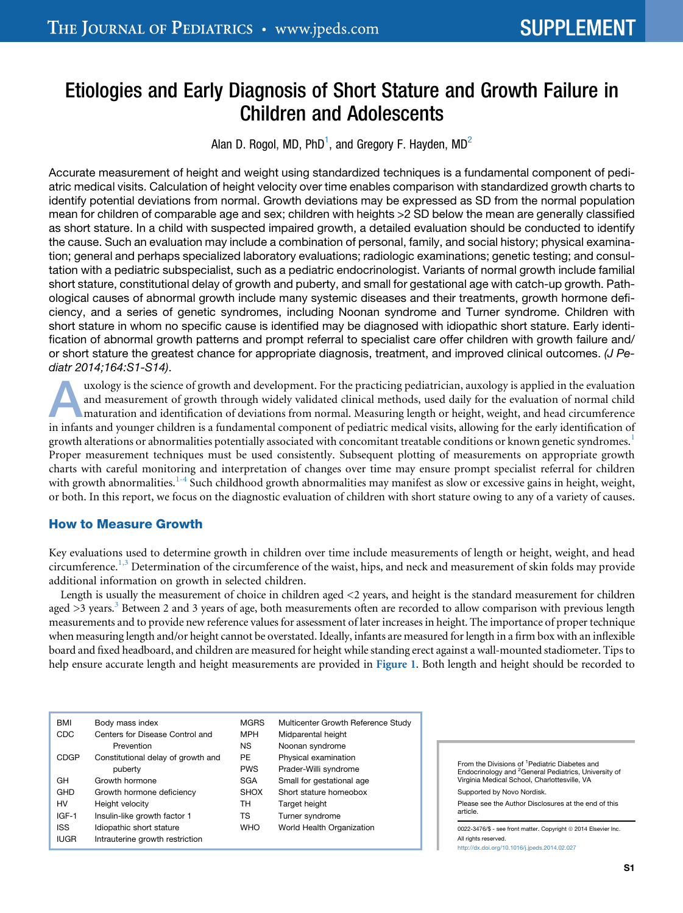# Etiologies and Early Diagnosis of Short Stature and Growth Failure in Children and Adolescents

Alan D. Rogol, MD, PhD<sup>1</sup>, and Gregory F. Hayden, MD<sup>2</sup>

Accurate measurement of height and weight using standardized techniques is a fundamental component of pediatric medical visits. Calculation of height velocity over time enables comparison with standardized growth charts to identify potential deviations from normal. Growth deviations may be expressed as SD from the normal population mean for children of comparable age and sex; children with heights >2 SD below the mean are generally classified as short stature. In a child with suspected impaired growth, a detailed evaluation should be conducted to identify the cause. Such an evaluation may include a combination of personal, family, and social history; physical examination; general and perhaps specialized laboratory evaluations; radiologic examinations; genetic testing; and consultation with a pediatric subspecialist, such as a pediatric endocrinologist. Variants of normal growth include familial short stature, constitutional delay of growth and puberty, and small for gestational age with catch-up growth. Pathological causes of abnormal growth include many systemic diseases and their treatments, growth hormone deficiency, and a series of genetic syndromes, including Noonan syndrome and Turner syndrome. Children with short stature in whom no specific cause is identified may be diagnosed with idiopathic short stature. Early identification of abnormal growth patterns and prompt referral to specialist care offer children with growth failure and/ or short stature the greatest chance for appropriate diagnosis, treatment, and improved clinical outcomes. *(J Pediatr 2014;164:S1-S14)*.

uxology is the science of growth and development. For the practicing pediatrician, auxology is applied in the evaluation and measurement of growth through widely validated clinical methods, used daily for the evaluation of normal child maturation and identification of deviations from normal. Measuring length or height, weight, and head circumference in infants and younger children is a fundamental component of pediatric medical visits, allowing for the early identification of growth alterations or abnormalities potentially associated with concomitant treatable conditions or known genetic syndromes.<sup>[1](#page-11-0)</sup> Proper measurement techniques must be used consistently. Subsequent plotting of measurements on appropriate growth charts with careful monitoring and interpretation of changes over time may ensure prompt specialist referral for children with growth abnormalities.<sup>[1-4](#page-11-0)</sup> Such childhood growth abnormalities may manifest as slow or excessive gains in height, weight, or both. In this report, we focus on the diagnostic evaluation of children with short stature owing to any of a variety of causes.

# How to Measure Growth

Key evaluations used to determine growth in children over time include measurements of length or height, weight, and head circumference.<sup>1,3</sup> Determination of the circumference of the waist, hips, and neck and measurement of skin folds may provide additional information on growth in selected children.

Length is usually the measurement of choice in children aged <2 years, and height is the standard measurement for children aged  $>3$  years.<sup>3</sup> Between 2 and 3 years of age, both measurements often are recorded to allow comparison with previous length measurements and to provide new reference values for assessment of later increases in height. The importance of proper technique when measuring length and/or height cannot be overstated. Ideally, infants are measured for length in a firm box with an inflexible board and fixed headboard, and children are measured for height while standing erect against a wall-mounted stadiometer. Tips to help ensure accurate length and height measurements are provided in [Figure 1](#page-1-0). Both length and height should be recorded to

| <b>BMI</b>  | Body mass index                    | <b>MGRS</b> | Multicenter Growth Reference Study |
|-------------|------------------------------------|-------------|------------------------------------|
| CDC         | Centers for Disease Control and    | <b>MPH</b>  | Midparental height                 |
|             | Prevention                         | <b>NS</b>   | Noonan syndrome                    |
| <b>CDGP</b> | Constitutional delay of growth and | <b>PE</b>   | Physical examination               |
|             | puberty                            | <b>PWS</b>  | Prader-Willi syndrome              |
| GH          | Growth hormone                     | <b>SGA</b>  | Small for gestational age          |
| <b>GHD</b>  | Growth hormone deficiency          | <b>SHOX</b> | Short stature homeobox             |
| HV          | Height velocity                    | тн          | Target height                      |
| $IGF-1$     | Insulin-like growth factor 1       | TS          | Turner syndrome                    |
| <b>ISS</b>  | Idiopathic short stature           | <b>WHO</b>  | World Health Organization          |
| <b>IUGR</b> | Intrauterine growth restriction    |             |                                    |

From the Divisions of <sup>1</sup> Pediatric Diabetes and Endocrinology and <sup>2</sup> General Pediatrics, University of Virginia Medical School, Charlottesville, VA Supported by Novo Nordisk.

Please see the Author Disclosures at the end of this article.

0022-3476/\$ - see front matter. Copyright @ 2014 Elsevier Inc. All rights reserved. <http://dx.doi.org/10.1016/j.jpeds.2014.02.027>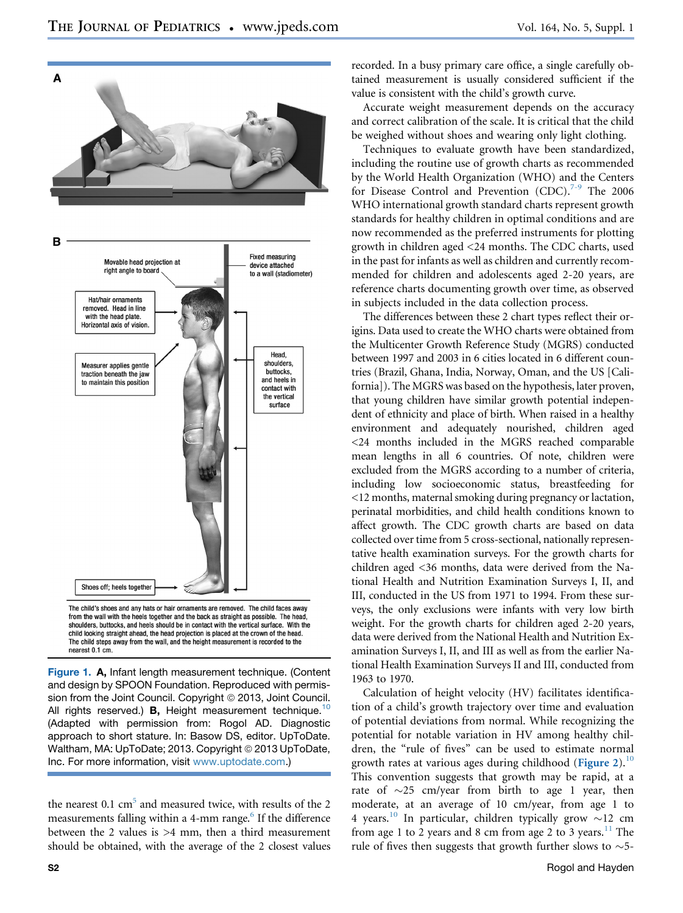<span id="page-1-0"></span>

shoulders, buttocks, and heels should be in contact with the vertical surface. With the child looking straight ahead, the head projection is placed at the crown of the head. The child steps away from the wall, and the height measurement is recorded to the nearest 0.1 cm.

Figure 1. A, Infant length measurement technique. (Content and design by SPOON Foundation. Reproduced with permission from the Joint Council. Copyright © 2013, Joint Council. All rights reserved.) **B**, Height measurement technique.<sup>[10](#page-11-0)</sup> (Adapted with permission from: Rogol AD. Diagnostic approach to short stature. In: Basow DS, editor. UpToDate. Waltham, MA: UpToDate; 2013. Copyright © 2013 UpToDate, Inc. For more information, visit [www.uptodate.com.](http://www.uptodate.com))

the nearest  $0.1 \text{ cm}^5$  and measured twice, with results of the 2 measurements falling within a 4-mm range.<sup>6</sup> If the difference between the 2 values is >4 mm, then a third measurement should be obtained, with the average of the 2 closest values

recorded. In a busy primary care office, a single carefully obtained measurement is usually considered sufficient if the value is consistent with the child's growth curve.

Accurate weight measurement depends on the accuracy and correct calibration of the scale. It is critical that the child be weighed without shoes and wearing only light clothing.

Techniques to evaluate growth have been standardized, including the routine use of growth charts as recommended by the World Health Organization (WHO) and the Centers for Disease Control and Prevention  $(CDC)^{7-9}$  $(CDC)^{7-9}$  $(CDC)^{7-9}$  The 2006 WHO international growth standard charts represent growth standards for healthy children in optimal conditions and are now recommended as the preferred instruments for plotting growth in children aged <24 months. The CDC charts, used in the past for infants as well as children and currently recommended for children and adolescents aged 2-20 years, are reference charts documenting growth over time, as observed in subjects included in the data collection process.

The differences between these 2 chart types reflect their origins. Data used to create the WHO charts were obtained from the Multicenter Growth Reference Study (MGRS) conducted between 1997 and 2003 in 6 cities located in 6 different countries (Brazil, Ghana, India, Norway, Oman, and the US [California]). The MGRS was based on the hypothesis, later proven, that young children have similar growth potential independent of ethnicity and place of birth. When raised in a healthy environment and adequately nourished, children aged <24 months included in the MGRS reached comparable mean lengths in all 6 countries. Of note, children were excluded from the MGRS according to a number of criteria, including low socioeconomic status, breastfeeding for <12 months, maternal smoking during pregnancy or lactation, perinatal morbidities, and child health conditions known to affect growth. The CDC growth charts are based on data collected over time from 5 cross-sectional, nationally representative health examination surveys. For the growth charts for children aged <36 months, data were derived from the National Health and Nutrition Examination Surveys I, II, and III, conducted in the US from 1971 to 1994. From these surveys, the only exclusions were infants with very low birth weight. For the growth charts for children aged 2-20 years, data were derived from the National Health and Nutrition Examination Surveys I, II, and III as well as from the earlier National Health Examination Surveys II and III, conducted from 1963 to 1970.

Calculation of height velocity (HV) facilitates identification of a child's growth trajectory over time and evaluation of potential deviations from normal. While recognizing the potential for notable variation in HV among healthy children, the "rule of fives" can be used to estimate normal growth rates at various ages during childhood ([Figure 2](#page-2-0)).<sup>[10](#page-11-0)</sup> This convention suggests that growth may be rapid, at a rate of  $\sim$ 25 cm/year from birth to age 1 year, then moderate, at an average of 10 cm/year, from age 1 to 4 years.<sup>[10](#page-11-0)</sup> In particular, children typically grow  $\sim$ 12 cm from age 1 to 2 years and 8 cm from age 2 to 3 years.<sup>[11](#page-11-0)</sup> The rule of fives then suggests that growth further slows to  $\sim$  5-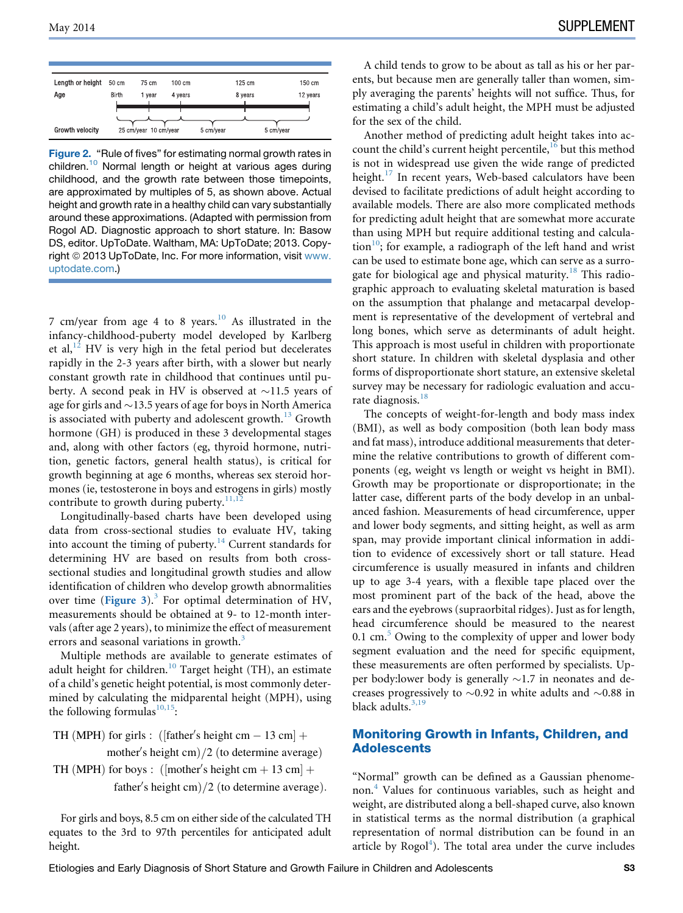<span id="page-2-0"></span>Figure 2. "Rule of fives" for estimating normal growth rates in children.[10](#page-11-0) Normal length or height at various ages during childhood, and the growth rate between those timepoints, are approximated by multiples of 5, as shown above. Actual height and growth rate in a healthy child can vary substantially around these approximations. (Adapted with permission from Rogol AD. Diagnostic approach to short stature. In: Basow DS, editor. UpToDate. Waltham, MA: UpToDate; 2013. Copyright © 2013 UpToDate, Inc. For more information, visit [www.](http://www.uptodate.com) [uptodate.com](http://www.uptodate.com).)

7 cm/year from age 4 to 8 years. $10$  As illustrated in the infancy-childhood-puberty model developed by Karlberg et al, $^{12}$  $^{12}$  $^{12}$  HV is very high in the fetal period but decelerates rapidly in the 2-3 years after birth, with a slower but nearly constant growth rate in childhood that continues until puberty. A second peak in HV is observed at  $\sim$ 11.5 years of age for girls and  $\sim$ 13.5 years of age for boys in North America is associated with puberty and adolescent growth.<sup>[13](#page-11-0)</sup> Growth hormone (GH) is produced in these 3 developmental stages and, along with other factors (eg, thyroid hormone, nutrition, genetic factors, general health status), is critical for growth beginning at age 6 months, whereas sex steroid hormones (ie, testosterone in boys and estrogens in girls) mostly contribute to growth during puberty. $\frac{11,12}{2}$  $\frac{11,12}{2}$  $\frac{11,12}{2}$ 

Longitudinally-based charts have been developed using data from cross-sectional studies to evaluate HV, taking into account the timing of puberty. $14$  Current standards for determining HV are based on results from both crosssectional studies and longitudinal growth studies and allow identification of children who develop growth abnormalities over time ([Figure 3](#page-3-0)). $3$  For optimal determination of HV, measurements should be obtained at 9- to 12-month intervals (after age 2 years), to minimize the effect of measurement errors and seasonal variations in growth.<sup>[3](#page-11-0)</sup>

Multiple methods are available to generate estimates of adult height for children.<sup>[10](#page-11-0)</sup> Target height (TH), an estimate of a child's genetic height potential, is most commonly determined by calculating the midparental height (MPH), using the following formulas $10,15$ :

TH (MPH) for girls :  $([father's height cm - 13 cm] +$ mother's height cm $)/2$  (to determine average) TH (MPH) for boys :  $([mother's height cm + 13 cm] +$ father's height cm $)/2$  (to determine average).

For girls and boys, 8.5 cm on either side of the calculated TH equates to the 3rd to 97th percentiles for anticipated adult height.

A child tends to grow to be about as tall as his or her parents, but because men are generally taller than women, simply averaging the parents' heights will not suffice. Thus, for estimating a child's adult height, the MPH must be adjusted for the sex of the child.

Another method of predicting adult height takes into account the child's current height percentile,  $16$  but this method is not in widespread use given the wide range of predicted height. $17$  In recent years, Web-based calculators have been devised to facilitate predictions of adult height according to available models. There are also more complicated methods for predicting adult height that are somewhat more accurate than using MPH but require additional testing and calcula- $\frac{10}{3}$  $\frac{10}{3}$  $\frac{10}{3}$ ; for example, a radiograph of the left hand and wrist can be used to estimate bone age, which can serve as a surro-gate for biological age and physical maturity.<sup>[18](#page-11-0)</sup> This radiographic approach to evaluating skeletal maturation is based on the assumption that phalange and metacarpal development is representative of the development of vertebral and long bones, which serve as determinants of adult height. This approach is most useful in children with proportionate short stature. In children with skeletal dysplasia and other forms of disproportionate short stature, an extensive skeletal survey may be necessary for radiologic evaluation and accu-rate diagnosis.<sup>[18](#page-11-0)</sup>

The concepts of weight-for-length and body mass index (BMI), as well as body composition (both lean body mass and fat mass), introduce additional measurements that determine the relative contributions to growth of different components (eg, weight vs length or weight vs height in BMI). Growth may be proportionate or disproportionate; in the latter case, different parts of the body develop in an unbalanced fashion. Measurements of head circumference, upper and lower body segments, and sitting height, as well as arm span, may provide important clinical information in addition to evidence of excessively short or tall stature. Head circumference is usually measured in infants and children up to age 3-4 years, with a flexible tape placed over the most prominent part of the back of the head, above the ears and the eyebrows (supraorbital ridges). Just as for length, head circumference should be measured to the nearest 0.1 cm. $5$  Owing to the complexity of upper and lower body segment evaluation and the need for specific equipment, these measurements are often performed by specialists. Upper body: lower body is generally  $\sim$  1.7 in neonates and decreases progressively to  $\sim 0.92$  in white adults and  $\sim 0.88$  in black adults. $3,19$ 

## Monitoring Growth in Infants, Children, and **Adolescents**

"Normal" growth can be defined as a Gaussian phenomenon.[4](#page-11-0) Values for continuous variables, such as height and weight, are distributed along a bell-shaped curve, also known in statistical terms as the normal distribution (a graphical representation of normal distribution can be found in an article by  $Rogol<sup>4</sup>$  $Rogol<sup>4</sup>$  $Rogol<sup>4</sup>$ ). The total area under the curve includes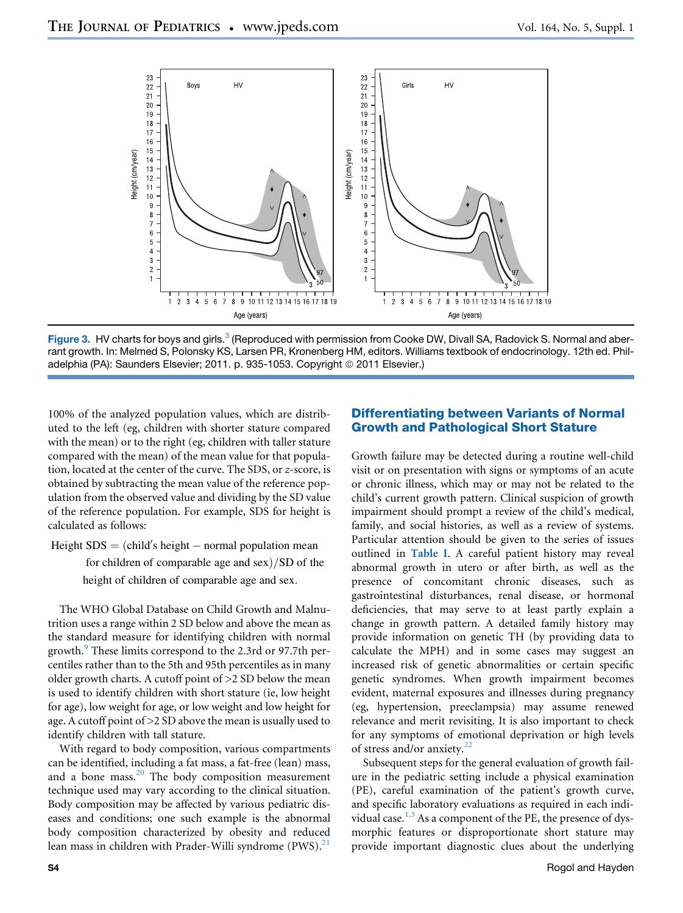<span id="page-3-0"></span>

Figure [3](#page-11-0). HV charts for boys and girls.<sup>3</sup> (Reproduced with permission from Cooke DW, Divall SA, Radovick S. Normal and aberrant growth. In: Melmed S, Polonsky KS, Larsen PR, Kronenberg HM, editors. Williams textbook of endocrinology. 12th ed. Philadelphia (PA): Saunders Elsevier; 2011. p. 935-1053. Copyright © 2011 Elsevier.)

100% of the analyzed population values, which are distributed to the left (eg, children with shorter stature compared with the mean) or to the right (eg, children with taller stature compared with the mean) of the mean value for that population, located at the center of the curve. The SDS, or z-score, is obtained by subtracting the mean value of the reference population from the observed value and dividing by the SD value of the reference population. For example, SDS for height is calculated as follows:

Height  $SDS = (child's height – normal population mean)$ 

for children of comparable age and sex $\frac{S}{SD}$  of the height of children of comparable age and sex.

The WHO Global Database on Child Growth and Malnutrition uses a range within 2 SD below and above the mean as the standard measure for identifying children with normal growth.<sup>[9](#page-11-0)</sup> These limits correspond to the 2.3rd or 97.7th percentiles rather than to the 5th and 95th percentiles as in many older growth charts. A cutoff point of >2 SD below the mean is used to identify children with short stature (ie, low height for age), low weight for age, or low weight and low height for age. A cutoff point of >2 SD above the mean is usually used to identify children with tall stature.

With regard to body composition, various compartments can be identified, including a fat mass, a fat-free (lean) mass, and a bone mass.<sup>[20](#page-11-0)</sup> The body composition measurement technique used may vary according to the clinical situation. Body composition may be affected by various pediatric diseases and conditions; one such example is the abnormal body composition characterized by obesity and reduced lean mass in children with Prader-Willi syndrome  $(PWS)^{21}$  $(PWS)^{21}$  $(PWS)^{21}$ 

# Differentiating between Variants of Normal Growth and Pathological Short Stature

Growth failure may be detected during a routine well-child visit or on presentation with signs or symptoms of an acute or chronic illness, which may or may not be related to the child's current growth pattern. Clinical suspicion of growth impairment should prompt a review of the child's medical, family, and social histories, as well as a review of systems. Particular attention should be given to the series of issues outlined in [Table I](#page-4-0). A careful patient history may reveal abnormal growth in utero or after birth, as well as the presence of concomitant chronic diseases, such as gastrointestinal disturbances, renal disease, or hormonal deficiencies, that may serve to at least partly explain a change in growth pattern. A detailed family history may provide information on genetic TH (by providing data to calculate the MPH) and in some cases may suggest an increased risk of genetic abnormalities or certain specific genetic syndromes. When growth impairment becomes evident, maternal exposures and illnesses during pregnancy (eg, hypertension, preeclampsia) may assume renewed relevance and merit revisiting. It is also important to check for any symptoms of emotional deprivation or high levels of stress and/or anxiety.<sup>[22](#page-11-0)</sup>

Subsequent steps for the general evaluation of growth failure in the pediatric setting include a physical examination (PE), careful examination of the patient's growth curve, and specific laboratory evaluations as required in each indi-vidual case.<sup>[1,3](#page-11-0)</sup> As a component of the PE, the presence of dysmorphic features or disproportionate short stature may provide important diagnostic clues about the underlying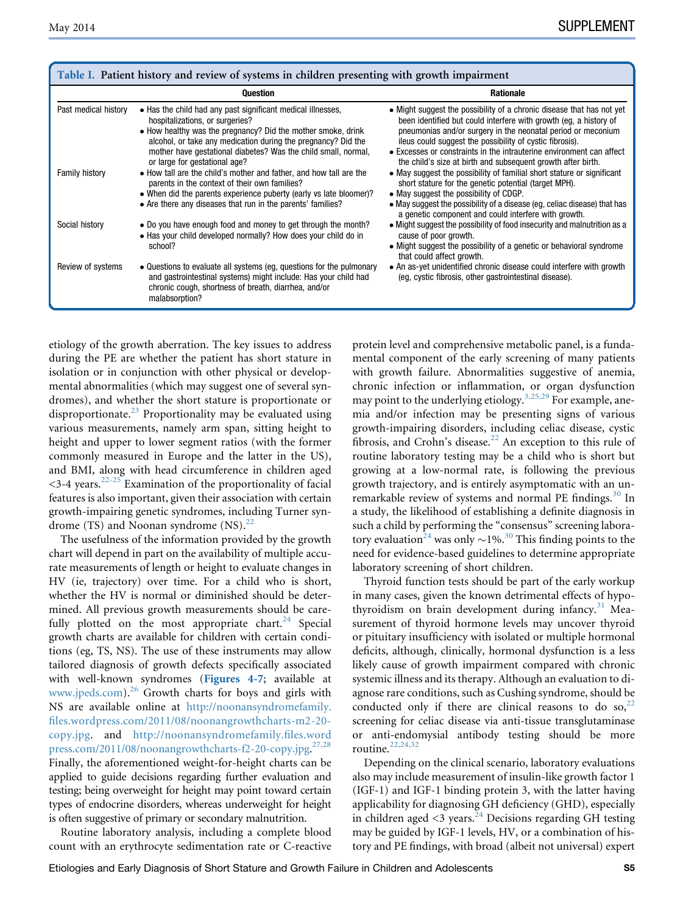<span id="page-4-0"></span>

| Table I. Patient history and review of systems in children presenting with growth impairment |                                                                                                                                                                                                                                                                                                                                    |                                                                                                                                                                                                                                                                                                                                                                                                                |  |
|----------------------------------------------------------------------------------------------|------------------------------------------------------------------------------------------------------------------------------------------------------------------------------------------------------------------------------------------------------------------------------------------------------------------------------------|----------------------------------------------------------------------------------------------------------------------------------------------------------------------------------------------------------------------------------------------------------------------------------------------------------------------------------------------------------------------------------------------------------------|--|
|                                                                                              | <b>Question</b>                                                                                                                                                                                                                                                                                                                    | <b>Rationale</b>                                                                                                                                                                                                                                                                                                                                                                                               |  |
| Past medical history                                                                         | • Has the child had any past significant medical illnesses,<br>hospitalizations, or surgeries?<br>• How healthy was the pregnancy? Did the mother smoke, drink<br>alcohol, or take any medication during the pregnancy? Did the<br>mother have gestational diabetes? Was the child small, normal,<br>or large for gestational age? | • Might suggest the possibility of a chronic disease that has not yet<br>been identified but could interfere with growth (eq. a history of<br>pneumonias and/or surgery in the neonatal period or meconium<br>ileus could suggest the possibility of cystic fibrosis).<br>• Excesses or constraints in the intrauterine environment can affect<br>the child's size at birth and subsequent growth after birth. |  |
| <b>Family history</b>                                                                        | • How tall are the child's mother and father, and how tall are the<br>parents in the context of their own families?<br>• When did the parents experience puberty (early vs late bloomer)?<br>• Are there any diseases that run in the parents' families?                                                                           | • May suggest the possibility of familial short stature or significant<br>short stature for the genetic potential (target MPH).<br>• May suggest the possibility of CDGP.<br>• May suggest the possibility of a disease (eg. celiac disease) that has<br>a genetic component and could interfere with growth.                                                                                                  |  |
| Social history                                                                               | • Do you have enough food and money to get through the month?<br>• Has your child developed normally? How does your child do in<br>school?                                                                                                                                                                                         | • Might suggest the possibility of food insecurity and malnutrition as a<br>cause of poor growth.<br>• Might suggest the possibility of a genetic or behavioral syndrome<br>that could affect growth.                                                                                                                                                                                                          |  |
| Review of systems                                                                            | • Questions to evaluate all systems (eg, questions for the pulmonary<br>and gastrointestinal systems) might include: Has your child had<br>chronic cough, shortness of breath, diarrhea, and/or<br>malabsorption?                                                                                                                  | • An as-yet unidentified chronic disease could interfere with growth<br>(eg, cystic fibrosis, other gastrointestinal disease).                                                                                                                                                                                                                                                                                 |  |

etiology of the growth aberration. The key issues to address during the PE are whether the patient has short stature in isolation or in conjunction with other physical or developmental abnormalities (which may suggest one of several syndromes), and whether the short stature is proportionate or disproportionate.<sup>[23](#page-11-0)</sup> Proportionality may be evaluated using various measurements, namely arm span, sitting height to height and upper to lower segment ratios (with the former commonly measured in Europe and the latter in the US), and BMI, along with head circumference in children aged  $<$ 3-4 years.<sup>[22-25](#page-11-0)</sup> Examination of the proportionality of facial features is also important, given their association with certain growth-impairing genetic syndromes, including Turner syndrome  $(TS)$  and Noonan syndrome  $(NS).^{22}$  $(NS).^{22}$  $(NS).^{22}$ 

The usefulness of the information provided by the growth chart will depend in part on the availability of multiple accurate measurements of length or height to evaluate changes in HV (ie, trajectory) over time. For a child who is short, whether the HV is normal or diminished should be determined. All previous growth measurements should be care-fully plotted on the most appropriate chart.<sup>[24](#page-11-0)</sup> Special growth charts are available for children with certain conditions (eg, TS, NS). The use of these instruments may allow tailored diagnosis of growth defects specifically associated with well-known syndromes ([Figures 4-7](#page-14-0); available at [www.jpeds.com](http://www.jpeds.com)).<sup>[26](#page-11-0)</sup> Growth charts for boys and girls with NS are available online at [http://noonansyndromefamily.](http://noonansyndromefamily.files.wordpress.com/2011/08/noonangrowthcharts-m2-20-copy.jpg) [files.wordpress.com/2011/08/noonangrowthcharts-m2-20](http://noonansyndromefamily.files.wordpress.com/2011/08/noonangrowthcharts-m2-20-copy.jpg) [copy.jpg](http://noonansyndromefamily.files.wordpress.com/2011/08/noonangrowthcharts-m2-20-copy.jpg). and [http://noonansyndromefamily.files.word](http://noonansyndromefamily.files.wordpress.com/2011/08/noonangrowthcharts-f2-20-copy.jpg) [press.com/2011/08/noonangrowthcharts-f2-20-copy.jpg](http://noonansyndromefamily.files.wordpress.com/2011/08/noonangrowthcharts-f2-20-copy.jpg). [27,28](#page-11-0) Finally, the aforementioned weight-for-height charts can be applied to guide decisions regarding further evaluation and testing; being overweight for height may point toward certain types of endocrine disorders, whereas underweight for height is often suggestive of primary or secondary malnutrition.

Routine laboratory analysis, including a complete blood count with an erythrocyte sedimentation rate or C-reactive protein level and comprehensive metabolic panel, is a fundamental component of the early screening of many patients with growth failure. Abnormalities suggestive of anemia, chronic infection or inflammation, or organ dysfunction may point to the underlying etiology.<sup>[3,25,29](#page-11-0)</sup> For example, anemia and/or infection may be presenting signs of various growth-impairing disorders, including celiac disease, cystic fibrosis, and Crohn's disease. $22$  An exception to this rule of routine laboratory testing may be a child who is short but growing at a low-normal rate, is following the previous growth trajectory, and is entirely asymptomatic with an un-remarkable review of systems and normal PE findings.<sup>[30](#page-12-0)</sup> In a study, the likelihood of establishing a definite diagnosis in such a child by performing the "consensus" screening labora-tory evaluation<sup>[24](#page-11-0)</sup> was only  $\sim$ 1%.<sup>[30](#page-12-0)</sup> This finding points to the need for evidence-based guidelines to determine appropriate laboratory screening of short children.

Thyroid function tests should be part of the early workup in many cases, given the known detrimental effects of hypo-thyroidism on brain development during infancy.<sup>[31](#page-12-0)</sup> Measurement of thyroid hormone levels may uncover thyroid or pituitary insufficiency with isolated or multiple hormonal deficits, although, clinically, hormonal dysfunction is a less likely cause of growth impairment compared with chronic systemic illness and its therapy. Although an evaluation to diagnose rare conditions, such as Cushing syndrome, should be conducted only if there are clinical reasons to do so,  $2^2$ screening for celiac disease via anti-tissue transglutaminase or anti-endomysial antibody testing should be more routine.<sup>[22,24,32](#page-11-0)</sup>

Depending on the clinical scenario, laboratory evaluations also may include measurement of insulin-like growth factor 1 (IGF-1) and IGF-1 binding protein 3, with the latter having applicability for diagnosing GH deficiency (GHD), especially in children aged  $\langle 3 \rangle$  years.<sup>[24](#page-11-0)</sup> Decisions regarding GH testing may be guided by IGF-1 levels, HV, or a combination of history and PE findings, with broad (albeit not universal) expert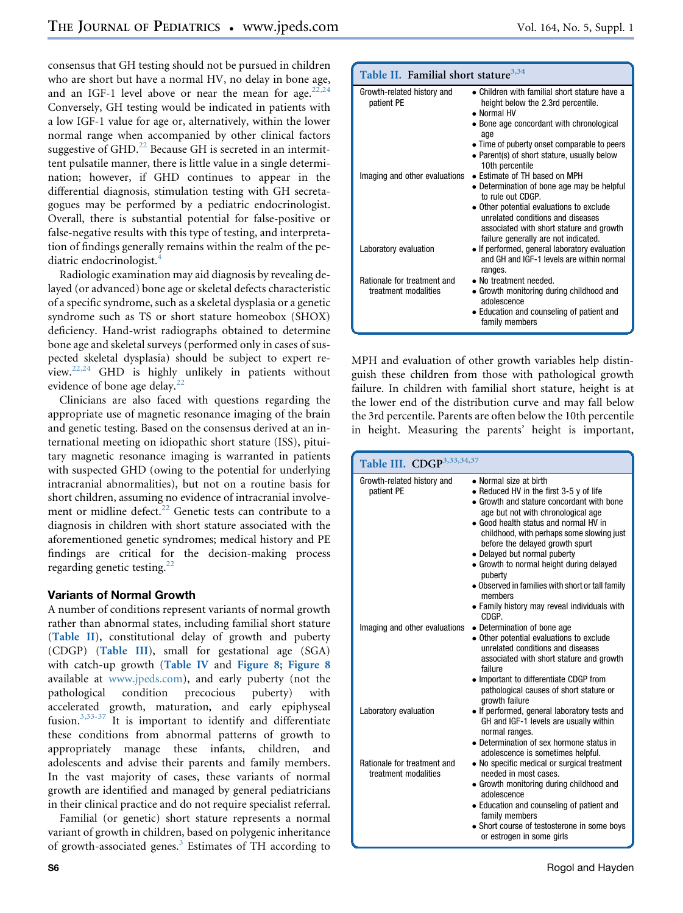<span id="page-5-0"></span>consensus that GH testing should not be pursued in children who are short but have a normal HV, no delay in bone age, and an IGF-1 level above or near the mean for age. $22,24$ Conversely, GH testing would be indicated in patients with a low IGF-1 value for age or, alternatively, within the lower normal range when accompanied by other clinical factors suggestive of  $GHD<sup>22</sup>$  $GHD<sup>22</sup>$  $GHD<sup>22</sup>$  Because GH is secreted in an intermittent pulsatile manner, there is little value in a single determination; however, if GHD continues to appear in the differential diagnosis, stimulation testing with GH secretagogues may be performed by a pediatric endocrinologist. Overall, there is substantial potential for false-positive or false-negative results with this type of testing, and interpretation of findings generally remains within the realm of the pe-diatric endocrinologist.<sup>[4](#page-11-0)</sup>

Radiologic examination may aid diagnosis by revealing delayed (or advanced) bone age or skeletal defects characteristic of a specific syndrome, such as a skeletal dysplasia or a genetic syndrome such as TS or short stature homeobox (SHOX) deficiency. Hand-wrist radiographs obtained to determine bone age and skeletal surveys (performed only in cases of suspected skeletal dysplasia) should be subject to expert review.[22,24](#page-11-0) GHD is highly unlikely in patients without evidence of bone age delay.<sup>[22](#page-11-0)</sup>

Clinicians are also faced with questions regarding the appropriate use of magnetic resonance imaging of the brain and genetic testing. Based on the consensus derived at an international meeting on idiopathic short stature (ISS), pituitary magnetic resonance imaging is warranted in patients with suspected GHD (owing to the potential for underlying intracranial abnormalities), but not on a routine basis for short children, assuming no evidence of intracranial involve-ment or midline defect.<sup>[22](#page-11-0)</sup> Genetic tests can contribute to a diagnosis in children with short stature associated with the aforementioned genetic syndromes; medical history and PE findings are critical for the decision-making process regarding genetic testing.<sup>[22](#page-11-0)</sup>

A number of conditions represent variants of normal growth rather than abnormal states, including familial short stature (Table II), constitutional delay of growth and puberty (CDGP) (Table III), small for gestational age (SGA) with catch-up growth ([Table IV](#page-6-0) and [Figure 8](#page-18-0); [Figure 8](#page-18-0) available at [www.jpeds.com\)](http://www.jpeds.com), and early puberty (not the pathological condition precocious puberty) with accelerated growth, maturation, and early epiphyseal fusion.<sup>[3,33-37](#page-11-0)</sup> It is important to identify and differentiate these conditions from abnormal patterns of growth to appropriately manage these infants, children, and adolescents and advise their parents and family members. In the vast majority of cases, these variants of normal growth are identified and managed by general pediatricians in their clinical practice and do not require specialist referral.

Familial (or genetic) short stature represents a normal variant of growth in children, based on polygenic inheritance of growth-associated genes.<sup>[3](#page-11-0)</sup> Estimates of TH according to

| Table II. Familial short stature <sup>3,34</sup>    |                                                                                                                                                                                                                               |
|-----------------------------------------------------|-------------------------------------------------------------------------------------------------------------------------------------------------------------------------------------------------------------------------------|
| Growth-related history and<br>patient PE            | • Children with familial short stature have a<br>height below the 2.3rd percentile.<br>• Normal HV<br>• Bone age concordant with chronological<br>age                                                                         |
|                                                     | • Time of puberty onset comparable to peers<br>• Parent(s) of short stature, usually below<br>10th percentile                                                                                                                 |
| Imaging and other evaluations                       | • Estimate of TH based on MPH<br>• Determination of bone age may be helpful<br>to rule out CDGP.<br>• Other potential evaluations to exclude<br>unrelated conditions and diseases<br>associated with short stature and growth |
| Laboratory evaluation                               | failure generally are not indicated.<br>• If performed, general laboratory evaluation<br>and GH and IGF-1 levels are within normal<br>ranges.                                                                                 |
| Rationale for treatment and<br>treatment modalities | • No treatment needed.<br>• Growth monitoring during childhood and<br>adolescence<br>• Education and counseling of patient and<br>family members                                                                              |

MPH and evaluation of other growth variables help distinguish these children from those with pathological growth failure. In children with familial short stature, height is at the lower end of the distribution curve and may fall below the 3rd percentile. Parents are often below the 10th percentile in height. Measuring the parents' height is important,

| Table III. CDGP <sup>3,33,34,37</sup>               |                                                                                                                                                                                                                                                                                                                                                                                                                                                                                                |  |
|-----------------------------------------------------|------------------------------------------------------------------------------------------------------------------------------------------------------------------------------------------------------------------------------------------------------------------------------------------------------------------------------------------------------------------------------------------------------------------------------------------------------------------------------------------------|--|
| Growth-related history and<br>patient PE            | • Normal size at birth<br>• Reduced HV in the first $3-5$ y of life<br>• Growth and stature concordant with bone<br>age but not with chronological age<br>• Good health status and normal HV in<br>childhood, with perhaps some slowing just<br>before the delayed growth spurt<br>• Delayed but normal puberty<br>• Growth to normal height during delayed<br>puberty<br>• Observed in families with short or tall family<br>members<br>• Family history may reveal individuals with<br>CDGP. |  |
| Imaging and other evaluations                       | • Determination of bone age<br>• Other potential evaluations to exclude<br>unrelated conditions and diseases<br>associated with short stature and growth<br>failure<br>• Important to differentiate CDGP from<br>pathological causes of short stature or<br>growth failure                                                                                                                                                                                                                     |  |
| Laboratory evaluation                               | • If performed, general laboratory tests and<br>GH and IGF-1 levels are usually within<br>normal ranges.<br>• Determination of sex hormone status in<br>adolescence is sometimes helpful.                                                                                                                                                                                                                                                                                                      |  |
| Rationale for treatment and<br>treatment modalities | • No specific medical or surgical treatment<br>needed in most cases.<br>• Growth monitoring during childhood and<br>adolescence<br>• Education and counseling of patient and<br>family members<br>• Short course of testosterone in some boys<br>or estrogen in some girls                                                                                                                                                                                                                     |  |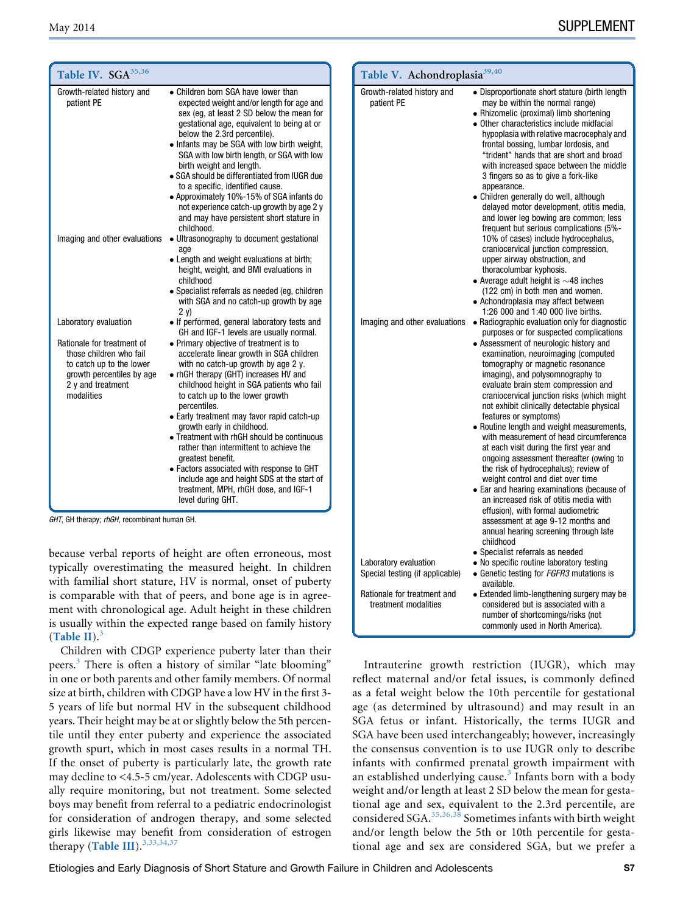<span id="page-6-0"></span>

| Table IV. SGA <sup>35,36</sup>                                                                                                                                             |                                                                                                                                                                                                                                                                                                                                                                                                                                                                                                                                                                                                                                                                                                                 | Table V. Achondroplasia <sup>39,40</sup> |                                                                                                                                                                                                                                                                                                                                                                                                                                                                                                                                                                                                                                                                                                                                                                                                |
|----------------------------------------------------------------------------------------------------------------------------------------------------------------------------|-----------------------------------------------------------------------------------------------------------------------------------------------------------------------------------------------------------------------------------------------------------------------------------------------------------------------------------------------------------------------------------------------------------------------------------------------------------------------------------------------------------------------------------------------------------------------------------------------------------------------------------------------------------------------------------------------------------------|------------------------------------------|------------------------------------------------------------------------------------------------------------------------------------------------------------------------------------------------------------------------------------------------------------------------------------------------------------------------------------------------------------------------------------------------------------------------------------------------------------------------------------------------------------------------------------------------------------------------------------------------------------------------------------------------------------------------------------------------------------------------------------------------------------------------------------------------|
| Growth-related history and<br>patient PE                                                                                                                                   | • Children born SGA have lower than<br>expected weight and/or length for age and<br>sex (eq. at least 2 SD below the mean for<br>gestational age, equivalent to being at or<br>below the 2.3rd percentile).<br>• Infants may be SGA with low birth weight,<br>SGA with low birth length, or SGA with low<br>birth weight and length.<br>• SGA should be differentiated from IUGR due<br>to a specific, identified cause.<br>• Approximately 10%-15% of SGA infants do<br>not experience catch-up growth by age 2 y<br>and may have persistent short stature in<br>childhood.                                                                                                                                    | Growth-related history and<br>patient PE | • Disproportionate short stature (birth length<br>may be within the normal range)<br>• Rhizomelic (proximal) limb shortening<br>• Other characteristics include midfacial<br>hypoplasia with relative macrocephaly and<br>frontal bossing, lumbar lordosis, and<br>"trident" hands that are short and broad<br>with increased space between the middle<br>3 fingers so as to give a fork-like<br>appearance.<br>• Children generally do well, although<br>delayed motor development, otitis media,<br>and lower leg bowing are common; less<br>frequent but serious complications (5%-                                                                                                                                                                                                         |
|                                                                                                                                                                            | Imaging and other evaluations . Ultrasonography to document gestational<br>age<br>• Length and weight evaluations at birth;<br>height, weight, and BMI evaluations in<br>childhood<br>• Specialist referrals as needed (eq. children<br>with SGA and no catch-up growth by age<br>2 v)                                                                                                                                                                                                                                                                                                                                                                                                                          |                                          | 10% of cases) include hydrocephalus,<br>craniocervical junction compression,<br>upper airway obstruction, and<br>thoracolumbar kyphosis.<br>• Average adult height is $\sim$ 48 inches<br>(122 cm) in both men and women.<br>• Achondroplasia may affect between<br>1:26 000 and 1:40 000 live births.                                                                                                                                                                                                                                                                                                                                                                                                                                                                                         |
| Laboratory evaluation<br>Rationale for treatment of<br>those children who fail<br>to catch up to the lower<br>growth percentiles by age<br>2 y and treatment<br>modalities | • If performed, general laboratory tests and<br>GH and IGF-1 levels are usually normal.<br>• Primary objective of treatment is to<br>accelerate linear growth in SGA children<br>with no catch-up growth by age 2 y.<br>• rhGH therapy (GHT) increases HV and<br>childhood height in SGA patients who fail<br>to catch up to the lower growth<br>percentiles.<br>• Early treatment may favor rapid catch-up<br>growth early in childhood.<br>• Treatment with rhGH should be continuous<br>rather than intermittent to achieve the<br>greatest benefit.<br>• Factors associated with response to GHT<br>include age and height SDS at the start of<br>treatment, MPH, rhGH dose, and IGF-1<br>level during GHT. |                                          | Imaging and other evaluations . Radiographic evaluation only for diagnostic<br>purposes or for suspected complications<br>• Assessment of neurologic history and<br>examination, neuroimaging (computed<br>tomography or magnetic resonance<br>imaging), and polysomnography to<br>evaluate brain stem compression and<br>craniocervical junction risks (which might<br>not exhibit clinically detectable physical<br>features or symptoms)<br>• Routine length and weight measurements,<br>with measurement of head circumference<br>at each visit during the first year and<br>ongoing assessment thereafter (owing to<br>the risk of hydrocephalus); review of<br>weight control and diet over time<br>• Ear and hearing examinations (because of<br>an increased risk of otitis media with |
| GHT, GH therapy; rhGH, recombinant human GH.                                                                                                                               |                                                                                                                                                                                                                                                                                                                                                                                                                                                                                                                                                                                                                                                                                                                 |                                          | effusion), with formal audiometric<br>assessment at age 9-12 months and<br>annual hearing screening through late<br>hoodhlida                                                                                                                                                                                                                                                                                                                                                                                                                                                                                                                                                                                                                                                                  |

because verbal reports of height are often erroneous, most

typically overestimating the measured height. In children with familial short stature, HV is normal, onset of puberty is comparable with that of peers, and bone age is in agreement with chronological age. Adult height in these children is usually within the expected range based on family history ([Table II](#page-5-0)). $3$ 

Children with CDGP experience puberty later than their peers.<sup>3</sup> There is often a history of similar "late blooming" in one or both parents and other family members. Of normal size at birth, children with CDGP have a low HV in the first 3- 5 years of life but normal HV in the subsequent childhood years. Their height may be at or slightly below the 5th percentile until they enter puberty and experience the associated growth spurt, which in most cases results in a normal TH. If the onset of puberty is particularly late, the growth rate may decline to <4.5-5 cm/year. Adolescents with CDGP usually require monitoring, but not treatment. Some selected boys may benefit from referral to a pediatric endocrinologist for consideration of androgen therapy, and some selected girls likewise may benefit from consideration of estrogen therapy ([Table III](#page-5-0)).<sup>[3,33,34,37](#page-11-0)</sup>

Intrauterine growth restriction (IUGR), which may reflect maternal and/or fetal issues, is commonly defined as a fetal weight below the 10th percentile for gestational age (as determined by ultrasound) and may result in an SGA fetus or infant. Historically, the terms IUGR and SGA have been used interchangeably; however, increasingly the consensus convention is to use IUGR only to describe infants with confirmed prenatal growth impairment with an established underlying cause.<sup>[3](#page-11-0)</sup> Infants born with a body weight and/or length at least 2 SD below the mean for gestational age and sex, equivalent to the 2.3rd percentile, are considered SGA. $35,36,38$  Sometimes infants with birth weight and/or length below the 5th or 10th percentile for gestational age and sex are considered SGA, but we prefer a

Specialist referrals as needed

 $\bullet$  Genetic testing for FGFR3 mutations is

 Extended limb-lengthening surgery may be considered but is associated with a number of shortcomings/risks (not commonly used in North America).

Laboratory evaluation <br>  $\bullet$  No specific routine laboratory testing<br>
Special testing (if applicable)  $\bullet$  Genetic testing for *FGFR3* mutations

Rationale for treatment and treatment modalities

available.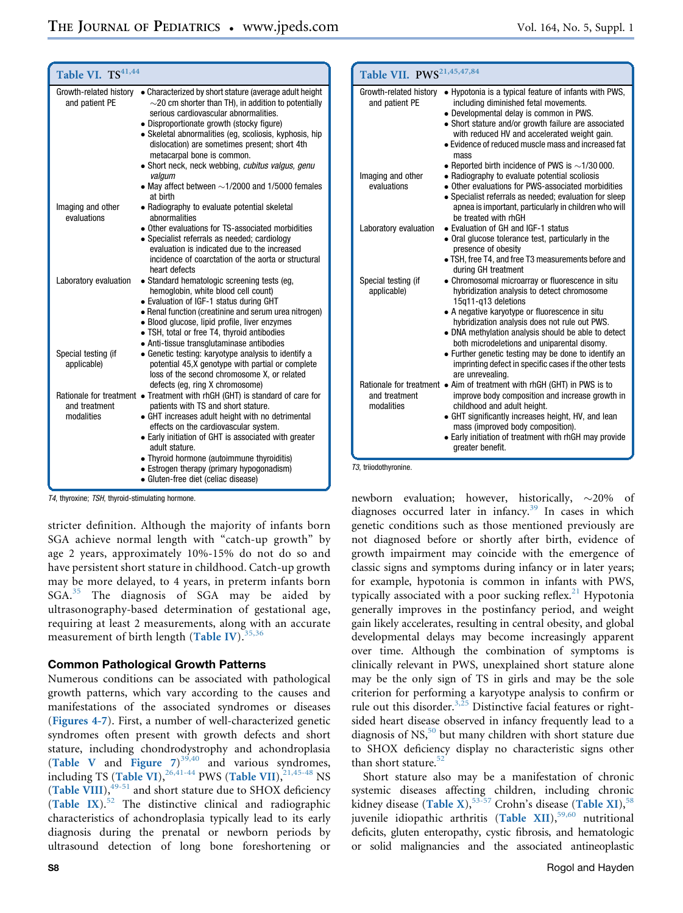| Table VI. TS <sup>41,44</sup>      |                                                                                                                                                                                                                                                                                                                                                                            | Table VII. PWS <sup>21,45,47,84</sup>          |                                                                                                                                                                                                                                                                                                                                         |
|------------------------------------|----------------------------------------------------------------------------------------------------------------------------------------------------------------------------------------------------------------------------------------------------------------------------------------------------------------------------------------------------------------------------|------------------------------------------------|-----------------------------------------------------------------------------------------------------------------------------------------------------------------------------------------------------------------------------------------------------------------------------------------------------------------------------------------|
| and patient PE                     | Growth-related history . Characterized by short stature (average adult height)<br>$\sim$ 20 cm shorter than TH), in addition to potentially<br>serious cardiovascular abnormalities.<br>• Disproportionate growth (stocky figure)<br>• Skeletal abnormalities (eg, scoliosis, kyphosis, hip<br>dislocation) are sometimes present; short 4th<br>metacarpal bone is common. | and patient PE                                 | Growth-related history • Hypotonia is a typical feature of infants with PWS,<br>including diminished fetal movements.<br>• Developmental delay is common in PWS.<br>• Short stature and/or growth failure are associated<br>with reduced HV and accelerated weight gain.<br>• Evidence of reduced muscle mass and increased fat<br>mass |
|                                    | • Short neck, neck webbing, cubitus valgus, genu<br>valgum<br>• May affect between $\sim$ 1/2000 and 1/5000 females<br>at birth                                                                                                                                                                                                                                            | Imaging and other<br>evaluations               | • Reported birth incidence of PWS is $\sim$ 1/30 000.<br>• Radiography to evaluate potential scoliosis<br>• Other evaluations for PWS-associated morbidities<br>• Specialist referrals as needed; evaluation for sleep                                                                                                                  |
| Imaging and other<br>evaluations   | • Radiography to evaluate potential skeletal<br>abnormalities<br>• Other evaluations for TS-associated morbidities                                                                                                                                                                                                                                                         | Laboratory evaluation                          | apnea is important, particularly in children who will<br>be treated with rhGH<br>• Evaluation of GH and IGF-1 status                                                                                                                                                                                                                    |
|                                    | • Specialist referrals as needed; cardiology<br>evaluation is indicated due to the increased<br>incidence of coarctation of the aorta or structural<br>heart defects                                                                                                                                                                                                       |                                                | • Oral glucose tolerance test, particularly in the<br>presence of obesity<br>• TSH, free T4, and free T3 measurements before and<br>during GH treatment                                                                                                                                                                                 |
| Laboratory evaluation              | • Standard hematologic screening tests (eg,<br>hemoglobin, white blood cell count)<br>• Evaluation of IGF-1 status during GHT<br>• Renal function (creatinine and serum urea nitrogen)<br>• Blood glucose, lipid profile, liver enzymes<br>• TSH, total or free T4, thyroid antibodies                                                                                     | Special testing (if<br>applicable)             | • Chromosomal microarray or fluorescence in situ<br>hybridization analysis to detect chromosome<br>15g11-g13 deletions<br>• A negative karyotype or fluorescence in situ<br>hybridization analysis does not rule out PWS.<br>• DNA methylation analysis should be able to detect<br>both microdeletions and uniparental disomy.         |
| Special testing (if<br>applicable) | • Anti-tissue transglutaminase antibodies<br>• Genetic testing: karyotype analysis to identify a<br>potential 45,X genotype with partial or complete<br>loss of the second chromosome X, or related<br>defects (eg, ring X chromosome)                                                                                                                                     |                                                | • Further genetic testing may be done to identify an<br>imprinting defect in specific cases if the other tests<br>are unrevealing.<br>Rationale for treatment • Aim of treatment with rhGH (GHT) in PWS is to                                                                                                                           |
| and treatment<br>modalities        | Rationale for treatment • Treatment with rhGH (GHT) is standard of care for<br>patients with TS and short stature.<br>• GHT increases adult height with no detrimental<br>effects on the cardiovascular system.<br>• Early initiation of GHT is associated with greater<br>adult stature.<br>• Thyroid hormone (autoimmune thyroiditis)                                    | and treatment<br>modalities<br>$TQ = 1.111111$ | improve body composition and increase growth in<br>childhood and adult height.<br>• GHT significantly increases height, HV, and lean<br>mass (improved body composition).<br>• Early initiation of treatment with rhGH may provide<br>greater benefit.                                                                                  |

T3, triiodothyronine.

T4, thyroxine; TSH, thyroid-stimulating hormone.

stricter definition. Although the majority of infants born SGA achieve normal length with "catch-up growth" by age 2 years, approximately 10%-15% do not do so and have persistent short stature in childhood. Catch-up growth may be more delayed, to 4 years, in preterm infants born SGA.<sup>[35](#page-12-0)</sup> The diagnosis of SGA may be aided by ultrasonography-based determination of gestational age, requiring at least 2 measurements, along with an accurate measurement of birth length ([Table IV](#page-6-0)).  $35,36$ 

 Estrogen therapy (primary hypogonadism) Gluten-free diet (celiac disease)

Common Pathological Growth Patterns Numerous conditions can be associated with pathological growth patterns, which vary according to the causes and manifestations of the associated syndromes or diseases ([Figures 4-7](#page-14-0)). First, a number of well-characterized genetic syndromes often present with growth defects and short stature, including chondrodystrophy and achondroplasia ([Table V](#page-6-0) and Figure  $7)^{39,40}$  $7)^{39,40}$  $7)^{39,40}$  and various syndromes,<br>including TS (Table VI)  $^{26,41-44}$  pWS (Table VII)  $^{21,45-48}$  NS including TS ([Tab](#page-12-0)le VI),  $^{26,41-44}$  $^{26,41-44}$  $^{26,41-44}$  PWS (Table VII),  $^{21,45-48}$  $^{21,45-48}$  $^{21,45-48}$  NS<br>(Table VIII)  $^{49-51}$  and short stature due to SHOX deficiency ([Table VIII](#page-8-0)), $^{49-51}$  and short stature due to SHOX deficiency (Table IX).<sup>[52](#page-12-0)</sup> The distinctive clinical and radiographic characteristics of achondroplasia typically lead to its early diagnosis during the prenatal or newborn periods by ultrasound detection of long bone foreshortening or

newborn evaluation; however, historically,  $\sim$ 20% of diagnoses occurred later in infancy.<sup>[39](#page-12-0)</sup> In cases in which genetic conditions such as those mentioned previously are not diagnosed before or shortly after birth, evidence of growth impairment may coincide with the emergence of classic signs and symptoms during infancy or in later years; for example, hypotonia is common in infants with PWS, typically associated with a poor sucking reflex. $21$  Hypotonia generally improves in the postinfancy period, and weight gain likely accelerates, resulting in central obesity, and global developmental delays may become increasingly apparent over time. Although the combination of symptoms is clinically relevant in PWS, unexplained short stature alone may be the only sign of TS in girls and may be the sole criterion for performing a karyotype analysis to confirm or rule out this disorder. $3,25$  Distinctive facial features or rightsided heart disease observed in infancy frequently lead to a diagnosis of  $NS$ ,<sup>50</sup> but many children with short stature due to SHOX deficiency display no characteristic signs other than short stature. $52$ 

Short stature also may be a manifestation of chronic systemic diseases affecting children, including chronic kidney disease ([Table X](#page-8-0)),  $53-57$  Crohn's disease ([Table XI](#page-8-0)),  $58$ <br>invenile, idiopathic, arthritis. (Table XII),  $59,60$ , nutritional juvenile idiopathic arthritis ([Table XII](#page-9-0)), $59,60$  nutritional deficits, gluten enteropathy, cystic fibrosis, and hematologic or solid malignancies and the associated antineoplastic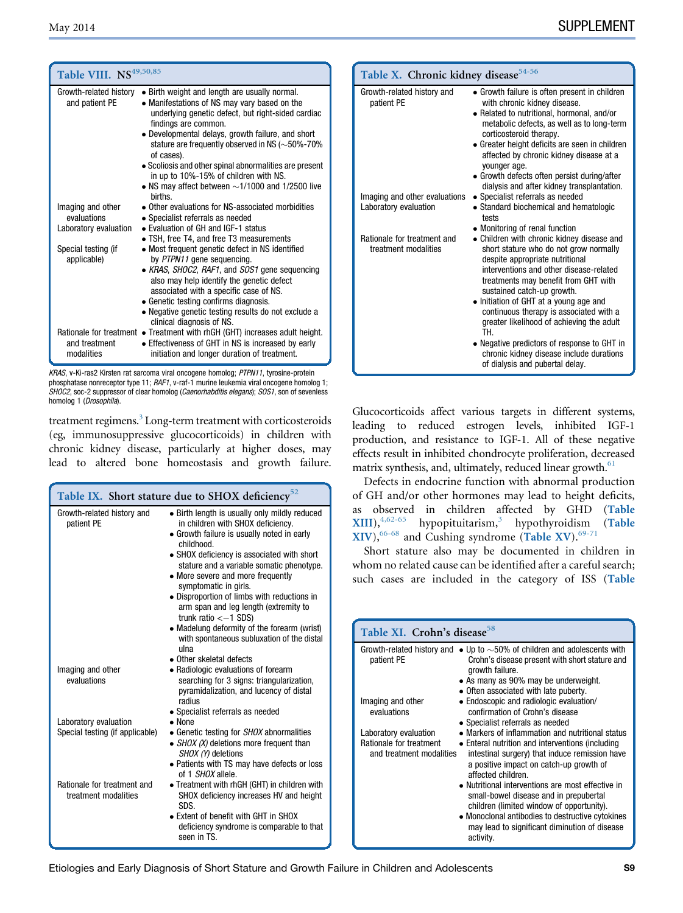<span id="page-8-0"></span>

| Table VIII. NS <sup>49,50,85</sup>                        |                                                                                                                                                                                                                                                                                                                                                                                                                                                                                                                | Table X. Chi                                          |
|-----------------------------------------------------------|----------------------------------------------------------------------------------------------------------------------------------------------------------------------------------------------------------------------------------------------------------------------------------------------------------------------------------------------------------------------------------------------------------------------------------------------------------------------------------------------------------------|-------------------------------------------------------|
| and patient PE                                            | Growth-related history $\bullet$ Birth weight and length are usually normal.<br>• Manifestations of NS may vary based on the<br>underlying genetic defect, but right-sided cardiac<br>findings are common.<br>• Developmental delays, growth failure, and short<br>stature are frequently observed in NS ( $\sim$ 50%-70%<br>of cases).<br>• Scoliosis and other spinal abnormalities are present<br>in up to 10%-15% of children with NS.<br>• NS may affect between $\sim$ 1/1000 and 1/2500 live<br>hirths. | Growth-related his<br>patient PE<br>Imaging and other |
| Imaging and other<br>evaluations<br>Laboratory evaluation | • Other evaluations for NS-associated morbidities<br>• Specialist referrals as needed<br>• Evaluation of GH and IGF-1 status                                                                                                                                                                                                                                                                                                                                                                                   | Laboratory evaluat                                    |
| Special testing (if<br>applicable)                        | • TSH, free T4, and free T3 measurements<br>• Most frequent genetic defect in NS identified<br>by PTPN11 gene sequencing.<br>• KRAS, SHOC2, RAF1, and SOS1 gene sequencing<br>also may help identify the genetic defect<br>associated with a specific case of NS.<br>• Genetic testing confirms diagnosis.<br>• Negative genetic testing results do not exclude a<br>clinical diagnosis of NS.                                                                                                                 | Rationale for treat<br>treatment moda                 |
| and treatment<br>modalities                               | Rationale for treatment • Treatment with rhGH (GHT) increases adult height.<br>• Effectiveness of GHT in NS is increased by early<br>initiation and longer duration of treatment.                                                                                                                                                                                                                                                                                                                              |                                                       |

KRAS, v-Ki-ras2 Kirsten rat sarcoma viral oncogene homolog; PTPN11, tyrosine-protein phosphatase nonreceptor type 11; RAF1, v-raf-1 murine leukemia viral oncogene homolog 1; SHOC2, soc-2 suppressor of clear homolog (Caenorhabditis elegans); SOS1, son of sevenless homolog 1 (Drosophila).

treatment regimens.<sup>3</sup> Long-term treatment with corticosteroids (eg, immunosuppressive glucocorticoids) in children with chronic kidney disease, particularly at higher doses, may lead to altered bone homeostasis and growth failure.

| Table IX. Short stature due to SHOX deficiency <sup>52</sup> |                                                                                                                                                                                                                                                                                                                                                                                                                                                                                                                        |  |
|--------------------------------------------------------------|------------------------------------------------------------------------------------------------------------------------------------------------------------------------------------------------------------------------------------------------------------------------------------------------------------------------------------------------------------------------------------------------------------------------------------------------------------------------------------------------------------------------|--|
| Growth-related history and<br>patient PE                     | • Birth length is usually only mildly reduced<br>in children with SHOX deficiency.<br>• Growth failure is usually noted in early<br>childhood.<br>• SHOX deficiency is associated with short<br>stature and a variable somatic phenotype.<br>• More severe and more frequently<br>symptomatic in girls.<br>• Disproportion of limbs with reductions in<br>arm span and leg length (extremity to<br>trunk ratio $<-1$ SDS)<br>• Madelung deformity of the forearm (wrist)<br>with spontaneous subluxation of the distal |  |
| Imaging and other<br>evaluations                             | ulna<br>• Other skeletal defects<br>• Radiologic evaluations of forearm<br>searching for 3 signs: triangularization,<br>pyramidalization, and lucency of distal<br>radius                                                                                                                                                                                                                                                                                                                                              |  |
| Laboratory evaluation<br>Special testing (if applicable)     | • Specialist referrals as needed<br>$\bullet$ None<br>• Genetic testing for <i>SHOX</i> abnormalities<br>• $SHOX$ (X) deletions more frequent than<br>SHOX (Y) deletions<br>• Patients with TS may have defects or loss<br>of 1 SHOX allele.                                                                                                                                                                                                                                                                           |  |
| Rationale for treatment and<br>treatment modalities          | • Treatment with rhGH (GHT) in children with<br>SHOX deficiency increases HV and height<br>SDS.<br>• Extent of benefit with GHT in SHOX<br>deficiency syndrome is comparable to that<br>seen in TS.                                                                                                                                                                                                                                                                                                                    |  |

| Table X. Chronic kidney disease <sup>54-56</sup>    |                                                                                                                                                                                                                                                                                                                                                                                   |  |
|-----------------------------------------------------|-----------------------------------------------------------------------------------------------------------------------------------------------------------------------------------------------------------------------------------------------------------------------------------------------------------------------------------------------------------------------------------|--|
| Growth-related history and<br>patient PE            | • Growth failure is often present in children<br>with chronic kidney disease.<br>• Related to nutritional, hormonal, and/or<br>metabolic defects, as well as to long-term<br>corticosteroid therapy.<br>• Greater height deficits are seen in children<br>affected by chronic kidney disease at a<br>younger age.<br>• Growth defects often persist during/after                  |  |
| Imaging and other evaluations                       | dialysis and after kidney transplantation.<br>• Specialist referrals as needed                                                                                                                                                                                                                                                                                                    |  |
| Laboratory evaluation                               | • Standard biochemical and hematologic<br>tests                                                                                                                                                                                                                                                                                                                                   |  |
|                                                     | • Monitoring of renal function                                                                                                                                                                                                                                                                                                                                                    |  |
| Rationale for treatment and<br>treatment modalities | • Children with chronic kidney disease and<br>short stature who do not grow normally<br>despite appropriate nutritional<br>interventions and other disease-related<br>treatments may benefit from GHT with<br>sustained catch-up growth.<br>• Initiation of GHT at a young age and<br>continuous therapy is associated with a<br>greater likelihood of achieving the adult<br>TH. |  |
|                                                     | • Negative predictors of response to GHT in<br>chronic kidney disease include durations<br>of dialysis and pubertal delay.                                                                                                                                                                                                                                                        |  |

Glucocorticoids affect various targets in different systems, leading to reduced estrogen levels, inhibited IGF-1 production, and resistance to IGF-1. All of these negative effects result in inhibited chondrocyte proliferation, decreased matrix synthesis, and, ultimately, reduced linear growth.<sup>61</sup>

Defects in endocrine function with abnormal production of GH and/or other hormones may lead to height deficits,<br>as observed in children affected by GHD (Table as observed in children affected by GHD (T<mark>able XIII</mark>)  $\frac{4,62-65}{ }$  hypopituitarism<sup>3</sup> hypothyroidism ([Table](#page-9-0)  $XIII$ ),<sup>[4,62-65](#page-11-0)</sup> hypopituitarism,<sup>[3](#page-11-0)</sup> hypothyroidism (Table XIV)  $^{66-68}$  and Cushing syndrome (Table XV)  $^{69-71}$  $XIV$ ,  $^{66-68}$  $^{66-68}$  $^{66-68}$  and Cushing syndrome ([Table XV](#page-10-0)).  $^{69-71}$  $^{69-71}$  $^{69-71}$ <br>Short stature also may be documented in child

Short stature also may be documented in children in whom no related cause can be identified after a careful search; such cases are included in the category of ISS ([Table](#page-10-0)

| Table XI. Crohn's disease <sup>58</sup>                                      |                                                                                                                                                                                                                                                                                                                                                                                                                                                                                       |  |
|------------------------------------------------------------------------------|---------------------------------------------------------------------------------------------------------------------------------------------------------------------------------------------------------------------------------------------------------------------------------------------------------------------------------------------------------------------------------------------------------------------------------------------------------------------------------------|--|
| patient PE                                                                   | Growth-related history and $\bullet$ Up to $\sim$ 50% of children and adolescents with<br>Crohn's disease present with short stature and<br>growth failure.<br>• As many as 90% may be underweight.<br>• Often associated with late puberty.                                                                                                                                                                                                                                          |  |
| Imaging and other<br>evaluations                                             | • Endoscopic and radiologic evaluation/<br>confirmation of Crohn's disease<br>• Specialist referrals as needed                                                                                                                                                                                                                                                                                                                                                                        |  |
| Laboratory evaluation<br>Rationale for treatment<br>and treatment modalities | • Markers of inflammation and nutritional status<br>• Enteral nutrition and interventions (including<br>intestinal surgery) that induce remission have<br>a positive impact on catch-up growth of<br>affected children.<br>• Nutritional interventions are most effective in<br>small-bowel disease and in prepubertal<br>children (limited window of opportunity).<br>• Monoclonal antibodies to destructive cytokines<br>may lead to significant diminution of disease<br>activity. |  |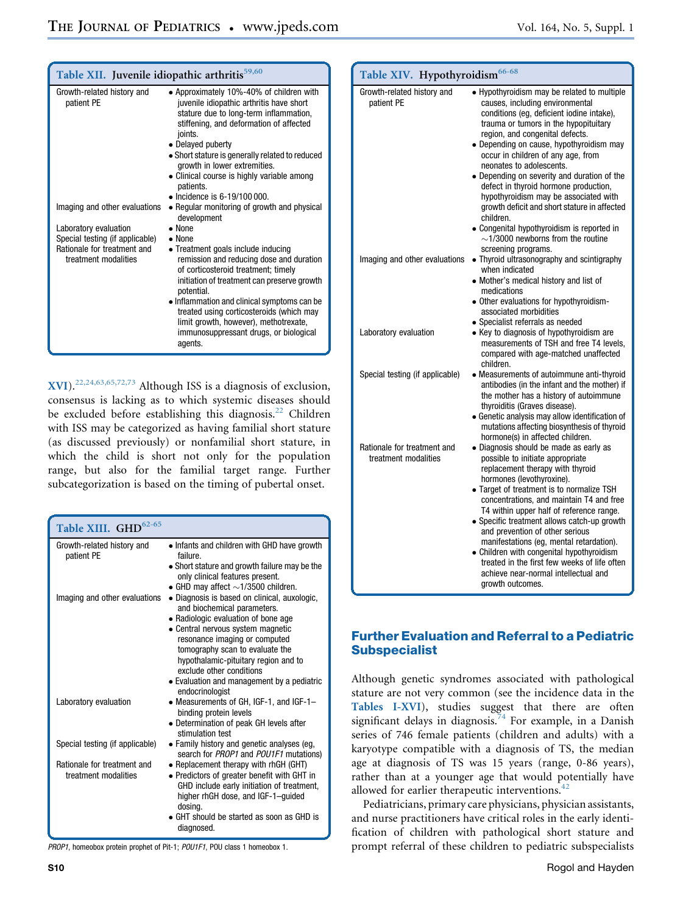<span id="page-9-0"></span>

| Table XII. Juvenile idiopathic arthritis <sup>59,60</sup> |                                                                                                                                                                                                                                                                                                                                                         |  |
|-----------------------------------------------------------|---------------------------------------------------------------------------------------------------------------------------------------------------------------------------------------------------------------------------------------------------------------------------------------------------------------------------------------------------------|--|
| Growth-related history and<br>patient PE                  | • Approximately 10%-40% of children with<br>juvenile idiopathic arthritis have short<br>stature due to long-term inflammation,<br>stiffening, and deformation of affected<br>joints.<br>• Delayed puberty<br>• Short stature is generally related to reduced<br>growth in lower extremities.<br>• Clinical course is highly variable among<br>patients. |  |
|                                                           | $\bullet$ Incidence is 6-19/100 000.                                                                                                                                                                                                                                                                                                                    |  |
| Imaging and other evaluations                             | • Regular monitoring of growth and physical<br>development                                                                                                                                                                                                                                                                                              |  |
| Laboratory evaluation                                     | $\bullet$ None                                                                                                                                                                                                                                                                                                                                          |  |
| Special testing (if applicable)                           | $\bullet$ None                                                                                                                                                                                                                                                                                                                                          |  |
| Rationale for treatment and<br>treatment modalities       | • Treatment goals include inducing<br>remission and reducing dose and duration<br>of corticosteroid treatment; timely<br>initiation of treatment can preserve growth<br>potential.<br>• Inflammation and clinical symptoms can be<br>treated using corticosteroids (which may                                                                           |  |
|                                                           | limit growth, however), methotrexate,<br>immunosuppressant drugs, or biological<br>agents.                                                                                                                                                                                                                                                              |  |

[XVI](#page-10-0)).[22,24,63,65,72,73](#page-11-0) Although ISS is a diagnosis of exclusion, consensus is lacking as to which systemic diseases should be excluded before establishing this diagnosis. $^{22}$  $^{22}$  $^{22}$  Children with ISS may be categorized as having familial short stature (as discussed previously) or nonfamilial short stature, in which the child is short not only for the population range, but also for the familial target range. Further subcategorization is based on the timing of pubertal onset.

| Table XIII. GHD <sup>62-65</sup>                    |                                                                                                                                                                                                                                                                                                                                                                  |
|-----------------------------------------------------|------------------------------------------------------------------------------------------------------------------------------------------------------------------------------------------------------------------------------------------------------------------------------------------------------------------------------------------------------------------|
| Growth-related history and<br>patient PE            | • Infants and children with GHD have growth<br>failure.<br>• Short stature and growth failure may be the<br>only clinical features present.<br>• GHD may affect $\sim$ 1/3500 children.                                                                                                                                                                          |
| Imaging and other evaluations                       | • Diagnosis is based on clinical, auxologic,<br>and biochemical parameters.<br>• Radiologic evaluation of bone age<br>• Central nervous system magnetic<br>resonance imaging or computed<br>tomography scan to evaluate the<br>hypothalamic-pituitary region and to<br>exclude other conditions<br>• Evaluation and management by a pediatric<br>endocrinologist |
| Laboratory evaluation                               | • Measurements of GH, IGF-1, and IGF-1-<br>binding protein levels<br>• Determination of peak GH levels after<br>stimulation test                                                                                                                                                                                                                                 |
| Special testing (if applicable)                     | • Family history and genetic analyses (eg.<br>search for PROP1 and POU1F1 mutations)                                                                                                                                                                                                                                                                             |
| Rationale for treatment and<br>treatment modalities | • Replacement therapy with rhGH (GHT)<br>• Predictors of greater benefit with GHT in<br>GHD include early initiation of treatment,<br>higher rhGH dose, and IGF-1-guided<br>dosina.<br>GHT should be started as soon as GHD is<br>diagnosed.                                                                                                                     |

PROP1, homeobox protein prophet of Pit-1; POU1F1, POU class 1 homeobox 1.

| Table XIV. Hypothyroidism <sup>66-68</sup>          |                                                                                                                                                                                                                                                                                                                                                                                                                                                                                                                                                                                                                                     |  |
|-----------------------------------------------------|-------------------------------------------------------------------------------------------------------------------------------------------------------------------------------------------------------------------------------------------------------------------------------------------------------------------------------------------------------------------------------------------------------------------------------------------------------------------------------------------------------------------------------------------------------------------------------------------------------------------------------------|--|
| Growth-related history and<br>patient PE            | • Hypothyroidism may be related to multiple<br>causes, including environmental<br>conditions (eg, deficient iodine intake),<br>trauma or tumors in the hypopituitary<br>region, and congenital defects.<br>· Depending on cause, hypothyroidism may<br>occur in children of any age, from<br>neonates to adolescents.<br>• Depending on severity and duration of the<br>defect in thyroid hormone production,<br>hypothyroidism may be associated with<br>growth deficit and short stature in affected<br>children.<br>• Congenital hypothyroidism is reported in<br>$\sim$ 1/3000 newborns from the routine<br>screening programs. |  |
| Imaging and other evaluations                       | • Thyroid ultrasonography and scintigraphy<br>when indicated<br>• Mother's medical history and list of<br>medications<br>• Other evaluations for hypothyroidism-<br>associated morbidities<br>• Specialist referrals as needed                                                                                                                                                                                                                                                                                                                                                                                                      |  |
| Laboratory evaluation                               | • Key to diagnosis of hypothyroidism are<br>measurements of TSH and free T4 levels,<br>compared with age-matched unaffected<br>children.                                                                                                                                                                                                                                                                                                                                                                                                                                                                                            |  |
| Special testing (if applicable)                     | • Measurements of autoimmune anti-thyroid<br>antibodies (in the infant and the mother) if<br>the mother has a history of autoimmune<br>thyroiditis (Graves disease).<br>· Genetic analysis may allow identification of<br>mutations affecting biosynthesis of thyroid<br>hormone(s) in affected children.                                                                                                                                                                                                                                                                                                                           |  |
| Rationale for treatment and<br>treatment modalities | · Diagnosis should be made as early as<br>possible to initiate appropriate<br>replacement therapy with thyroid<br>hormones (levothyroxine).<br>• Target of treatment is to normalize TSH<br>concentrations, and maintain T4 and free<br>T4 within upper half of reference range.<br>• Specific treatment allows catch-up growth<br>and prevention of other serious<br>manifestations (eg, mental retardation).<br>• Children with congenital hypothyroidism<br>treated in the first few weeks of life often<br>achieve near-normal intellectual and<br>growth outcomes.                                                             |  |

# Further Evaluation and Referral to a Pediatric **Subspecialist**

Although genetic syndromes associated with pathological stature are not very common (see the incidence data in the [Tables I-XVI](#page-4-0)), studies suggest that there are often significant delays in diagnosis.<sup>[74](#page-13-0)</sup> For example, in a Danish series of 746 female patients (children and adults) with a karyotype compatible with a diagnosis of TS, the median age at diagnosis of TS was 15 years (range, 0-86 years), rather than at a younger age that would potentially have allowed for earlier therapeutic interventions.<sup>[42](#page-12-0)</sup>

Pediatricians, primary care physicians, physician assistants, and nurse practitioners have critical roles in the early identification of children with pathological short stature and prompt referral of these children to pediatric subspecialists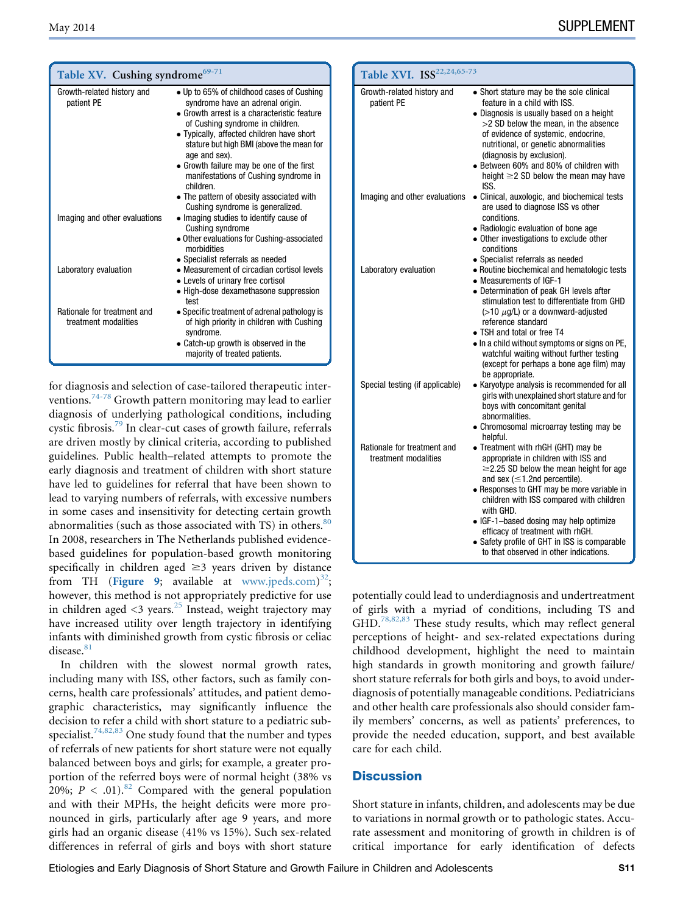<span id="page-10-0"></span>

| Table XV. Cushing syndrome <sup>69-71</sup>         |                                                                                                                                                                                                                                                                                                                                                                                                                                                              |  |
|-----------------------------------------------------|--------------------------------------------------------------------------------------------------------------------------------------------------------------------------------------------------------------------------------------------------------------------------------------------------------------------------------------------------------------------------------------------------------------------------------------------------------------|--|
| Growth-related history and<br>patient PE            | • Up to 65% of childhood cases of Cushing<br>syndrome have an adrenal origin.<br>• Growth arrest is a characteristic feature<br>of Cushing syndrome in children.<br>• Typically, affected children have short<br>stature but high BMI (above the mean for<br>age and sex).<br>• Growth failure may be one of the first<br>manifestations of Cushing syndrome in<br>children.<br>• The pattern of obesity associated with<br>Cushing syndrome is generalized. |  |
| Imaging and other evaluations                       | • Imaging studies to identify cause of<br>Cushing syndrome<br>• Other evaluations for Cushing-associated<br>morbidities                                                                                                                                                                                                                                                                                                                                      |  |
| Laboratory evaluation                               | • Specialist referrals as needed<br>• Measurement of circadian cortisol levels<br>• Levels of urinary free cortisol<br>• High-dose dexamethasone suppression<br>test                                                                                                                                                                                                                                                                                         |  |
| Rationale for treatment and<br>treatment modalities | • Specific treatment of adrenal pathology is<br>of high priority in children with Cushing<br>syndrome.<br>• Catch-up growth is observed in the<br>majority of treated patients.                                                                                                                                                                                                                                                                              |  |

for diagnosis and selection of case-tailored therapeutic interventions.[74-78](#page-13-0) Growth pattern monitoring may lead to earlier diagnosis of underlying pathological conditions, including cystic fibrosis.[79](#page-13-0) In clear-cut cases of growth failure, referrals are driven mostly by clinical criteria, according to published guidelines. Public health–related attempts to promote the early diagnosis and treatment of children with short stature have led to guidelines for referral that have been shown to lead to varying numbers of referrals, with excessive numbers in some cases and insensitivity for detecting certain growth abnormalities (such as those associated with TS) in others.<sup>[80](#page-13-0)</sup> In 2008, researchers in The Netherlands published evidencebased guidelines for population-based growth monitoring specifically in children aged  $\geq$ 3 years driven by distance from TH ([Figure 9](#page-19-0); available at [www.jpeds.com\)](http://www.jpeds.com)<sup>32</sup>;<br>however this method is not appropriately predictive for use however, this method is not appropriately predictive for use in children aged  $\langle 3 \rangle$  years.<sup>25</sup> Instead, weight trajectory may have increased utility over length trajectory in identifying infants with diminished growth from cystic fibrosis or celiac disease.<sup>81</sup>

In children with the slowest normal growth rates, including many with ISS, other factors, such as family concerns, health care professionals' attitudes, and patient demographic characteristics, may significantly influence the decision to refer a child with short stature to a pediatric sub-specialist.<sup>[74,82,83](#page-13-0)</sup> One study found that the number and types of referrals of new patients for short stature were not equally balanced between boys and girls; for example, a greater proportion of the referred boys were of normal height (38% vs 20%;  $P < .01$ ).<sup>[82](#page-13-0)</sup> Compared with the general population and with their MPHs, the height deficits were more pronounced in girls, particularly after age 9 years, and more girls had an organic disease (41% vs 15%). Such sex-related differences in referral of girls and boys with short stature

| Table XVI. ISS <sup>22,24,65-73</sup>               |                                                                                                                                                                                                                                                                                                                                                                                                                                                  |
|-----------------------------------------------------|--------------------------------------------------------------------------------------------------------------------------------------------------------------------------------------------------------------------------------------------------------------------------------------------------------------------------------------------------------------------------------------------------------------------------------------------------|
| Growth-related history and<br>patient PE            | • Short stature may be the sole clinical<br>feature in a child with ISS.<br>• Diagnosis is usually based on a height<br>>2 SD below the mean, in the absence<br>of evidence of systemic, endocrine,<br>nutritional, or genetic abnormalities<br>(diagnosis by exclusion).<br>• Between 60% and 80% of children with<br>height $\geq$ 2 SD below the mean may have<br>ISS.                                                                        |
| Imaging and other evaluations                       | • Clinical, auxologic, and biochemical tests<br>are used to diagnose ISS vs other<br>conditions.<br>• Radiologic evaluation of bone age<br>• Other investigations to exclude other<br>conditions<br>• Specialist referrals as needed                                                                                                                                                                                                             |
| Laboratory evaluation                               | • Routine biochemical and hematologic tests<br>• Measurements of IGF-1<br>• Determination of peak GH levels after<br>stimulation test to differentiate from GHD<br>$($ >10 $\mu$ g/L) or a downward-adjusted<br>reference standard<br>• TSH and total or free T4<br>. In a child without symptoms or signs on PE,<br>watchful waiting without further testing<br>(except for perhaps a bone age film) may<br>be appropriate.                     |
| Special testing (if applicable)                     | • Karyotype analysis is recommended for all<br>girls with unexplained short stature and for<br>boys with concomitant genital<br>abnormalities.<br>• Chromosomal microarray testing may be<br>helpful.                                                                                                                                                                                                                                            |
| Rationale for treatment and<br>treatment modalities | • Treatment with rhGH (GHT) may be<br>appropriate in children with ISS and<br>$\geq$ 2.25 SD below the mean height for age<br>and sex $(\leq 1.2$ nd percentile).<br>• Responses to GHT may be more variable in<br>children with ISS compared with children<br>with GHD.<br>• IGF-1-based dosing may help optimize<br>efficacy of treatment with rhGH.<br>• Safety profile of GHT in ISS is comparable<br>to that observed in other indications. |

potentially could lead to underdiagnosis and undertreatment of girls with a myriad of conditions, including TS and GHD.<sup>[78,82,83](#page-13-0)</sup> These study results, which may reflect general perceptions of height- and sex-related expectations during childhood development, highlight the need to maintain high standards in growth monitoring and growth failure/ short stature referrals for both girls and boys, to avoid underdiagnosis of potentially manageable conditions. Pediatricians and other health care professionals also should consider family members' concerns, as well as patients' preferences, to provide the needed education, support, and best available care for each child.

### **Discussion**

Short stature in infants, children, and adolescents may be due to variations in normal growth or to pathologic states. Accurate assessment and monitoring of growth in children is of critical importance for early identification of defects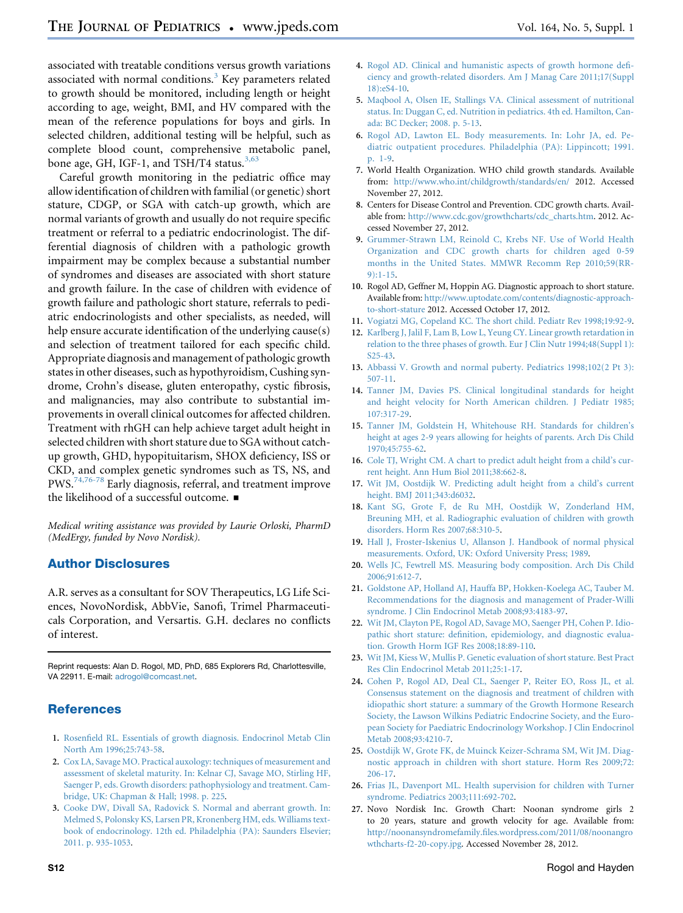<span id="page-11-0"></span>associated with treatable conditions versus growth variations associated with normal conditions. $3$  Key parameters related to growth should be monitored, including length or height according to age, weight, BMI, and HV compared with the mean of the reference populations for boys and girls. In selected children, additional testing will be helpful, such as complete blood count, comprehensive metabolic panel, bone age, GH, IGF-1, and TSH/T4 status.<sup>3,63</sup>

Careful growth monitoring in the pediatric office may allow identification of children with familial (or genetic) short stature, CDGP, or SGA with catch-up growth, which are normal variants of growth and usually do not require specific treatment or referral to a pediatric endocrinologist. The differential diagnosis of children with a pathologic growth impairment may be complex because a substantial number of syndromes and diseases are associated with short stature and growth failure. In the case of children with evidence of growth failure and pathologic short stature, referrals to pediatric endocrinologists and other specialists, as needed, will help ensure accurate identification of the underlying cause(s) and selection of treatment tailored for each specific child. Appropriate diagnosis and management of pathologic growth states in other diseases, such as hypothyroidism, Cushing syndrome, Crohn's disease, gluten enteropathy, cystic fibrosis, and malignancies, may also contribute to substantial improvements in overall clinical outcomes for affected children. Treatment with rhGH can help achieve target adult height in selected children with short stature due to SGA without catchup growth, GHD, hypopituitarism, SHOX deficiency, ISS or CKD, and complex genetic syndromes such as TS, NS, and PWS.<sup>[74,76-78](#page-13-0)</sup> Early diagnosis, referral, and treatment improve the likelihood of a successful outcome.  $\blacksquare$ 

Medical writing assistance was provided by Laurie Orloski, PharmD (MedErgy, funded by Novo Nordisk).

# Author Disclosures

A.R. serves as a consultant for SOV Therapeutics, LG Life Sciences, NovoNordisk, AbbVie, Sanofi, Trimel Pharmaceuticals Corporation, and Versartis. G.H. declares no conflicts of interest.

Reprint requests: Alan D. Rogol, MD, PhD, 685 Explorers Rd, Charlottesville, VA 22911. E-mail: [adrogol@comcast.net.](mailto:adrogol@comcast.net)

# **References**

- 1. [Rosenfield RL. Essentials of growth diagnosis. Endocrinol Metab Clin](http://refhub.elsevier.com/S0022-3476(14)00167-X/sref1) [North Am 1996;25:743-58.](http://refhub.elsevier.com/S0022-3476(14)00167-X/sref1)
- 2. [Cox LA, Savage MO. Practical auxology: techniques of measurement and](http://refhub.elsevier.com/S0022-3476(14)00167-X/sref2) [assessment of skeletal maturity. In: Kelnar CJ, Savage MO, Stirling HF,](http://refhub.elsevier.com/S0022-3476(14)00167-X/sref2) [Saenger P, eds. Growth disorders: pathophysiology and treatment. Cam](http://refhub.elsevier.com/S0022-3476(14)00167-X/sref2)[bridge, UK: Chapman & Hall; 1998. p. 225](http://refhub.elsevier.com/S0022-3476(14)00167-X/sref2).
- 3. [Cooke DW, Divall SA, Radovick S. Normal and aberrant growth. In:](http://refhub.elsevier.com/S0022-3476(14)00167-X/sref3) [Melmed S, Polonsky KS, Larsen PR, Kronenberg HM, eds. Williams text](http://refhub.elsevier.com/S0022-3476(14)00167-X/sref3)[book of endocrinology. 12th ed. Philadelphia \(PA\): Saunders Elsevier;](http://refhub.elsevier.com/S0022-3476(14)00167-X/sref3) [2011. p. 935-1053.](http://refhub.elsevier.com/S0022-3476(14)00167-X/sref3)
- 4. [Rogol AD. Clinical and humanistic aspects of growth hormone defi](http://refhub.elsevier.com/S0022-3476(14)00167-X/sref4)[ciency and growth-related disorders. Am J Manag Care 2011;17\(Suppl](http://refhub.elsevier.com/S0022-3476(14)00167-X/sref4) [18\):eS4-10.](http://refhub.elsevier.com/S0022-3476(14)00167-X/sref4)
- 5. [Maqbool A, Olsen IE, Stallings VA. Clinical assessment of nutritional](http://refhub.elsevier.com/S0022-3476(14)00167-X/sref5) [status. In: Duggan C, ed. Nutrition in pediatrics. 4th ed. Hamilton, Can](http://refhub.elsevier.com/S0022-3476(14)00167-X/sref5)[ada: BC Decker; 2008. p. 5-13.](http://refhub.elsevier.com/S0022-3476(14)00167-X/sref5)
- 6. [Rogol AD, Lawton EL. Body measurements. In: Lohr JA, ed. Pe](http://refhub.elsevier.com/S0022-3476(14)00167-X/sref6)[diatric outpatient procedures. Philadelphia \(PA\): Lippincott; 1991.](http://refhub.elsevier.com/S0022-3476(14)00167-X/sref6) [p. 1-9.](http://refhub.elsevier.com/S0022-3476(14)00167-X/sref6)
- 7. World Health Organization. WHO child growth standards. Available from: <http://www.who.int/childgrowth/standards/en/> 2012. Accessed November 27, 2012.
- 8. Centers for Disease Control and Prevention. CDC growth charts. Available from: [http://www.cdc.gov/growthcharts/cdc\\_charts.htm](http://www.cdc.gov/growthcharts/cdc_charts.htm). 2012. Accessed November 27, 2012.
- 9. [Grummer-Strawn LM, Reinold C, Krebs NF. Use of World Health](http://refhub.elsevier.com/S0022-3476(14)00167-X/sref7) [Organization and CDC growth charts for children aged 0-59](http://refhub.elsevier.com/S0022-3476(14)00167-X/sref7) [months in the United States. MMWR Recomm Rep 2010;59\(RR-](http://refhub.elsevier.com/S0022-3476(14)00167-X/sref7)[9\):1-15](http://refhub.elsevier.com/S0022-3476(14)00167-X/sref7).
- 10. Rogol AD, Geffner M, Hoppin AG. Diagnostic approach to short stature. Available from: [http://www.uptodate.com/contents/diagnostic-approach](http://www.uptodate.com/contents/diagnostic-approach-to-short-stature)[to-short-stature](http://www.uptodate.com/contents/diagnostic-approach-to-short-stature) 2012. Accessed October 17, 2012.
- 11. [Vogiatzi MG, Copeland KC. The short child. Pediatr Rev 1998;19:92-9](http://refhub.elsevier.com/S0022-3476(14)00167-X/sref8).
- 12. [Karlberg J, Jalil F, Lam B, Low L, Yeung CY. Linear growth retardation in](http://refhub.elsevier.com/S0022-3476(14)00167-X/sref9) [relation to the three phases of growth. Eur J Clin Nutr 1994;48\(Suppl 1\):](http://refhub.elsevier.com/S0022-3476(14)00167-X/sref9) [S25-43](http://refhub.elsevier.com/S0022-3476(14)00167-X/sref9).
- 13. [Abbassi V. Growth and normal puberty. Pediatrics 1998;102\(2 Pt 3\):](http://refhub.elsevier.com/S0022-3476(14)00167-X/sref10) [507-11.](http://refhub.elsevier.com/S0022-3476(14)00167-X/sref10)
- 14. [Tanner JM, Davies PS. Clinical longitudinal standards for height](http://refhub.elsevier.com/S0022-3476(14)00167-X/sref11) [and height velocity for North American children. J Pediatr 1985;](http://refhub.elsevier.com/S0022-3476(14)00167-X/sref11) [107:317-29.](http://refhub.elsevier.com/S0022-3476(14)00167-X/sref11)
- 15. [Tanner JM, Goldstein H, Whitehouse RH. Standards for children's](http://refhub.elsevier.com/S0022-3476(14)00167-X/sref12) [height at ages 2-9 years allowing for heights of parents. Arch Dis Child](http://refhub.elsevier.com/S0022-3476(14)00167-X/sref12) [1970;45:755-62](http://refhub.elsevier.com/S0022-3476(14)00167-X/sref12).
- 16. [Cole TJ, Wright CM. A chart to predict adult height from a child's cur](http://refhub.elsevier.com/S0022-3476(14)00167-X/sref13)[rent height. Ann Hum Biol 2011;38:662-8](http://refhub.elsevier.com/S0022-3476(14)00167-X/sref13).
- 17. [Wit JM, Oostdijk W. Predicting adult height from a child's current](http://refhub.elsevier.com/S0022-3476(14)00167-X/sref14) [height. BMJ 2011;343:d6032](http://refhub.elsevier.com/S0022-3476(14)00167-X/sref14).
- 18. [Kant SG, Grote F, de Ru MH, Oostdijk W, Zonderland HM,](http://refhub.elsevier.com/S0022-3476(14)00167-X/sref15) [Breuning MH, et al. Radiographic evaluation of children with growth](http://refhub.elsevier.com/S0022-3476(14)00167-X/sref15) [disorders. Horm Res 2007;68:310-5](http://refhub.elsevier.com/S0022-3476(14)00167-X/sref15).
- 19. [Hall J, Froster-Iskenius U, Allanson J. Handbook of normal physical](http://refhub.elsevier.com/S0022-3476(14)00167-X/sref16) [measurements. Oxford, UK: Oxford University Press; 1989.](http://refhub.elsevier.com/S0022-3476(14)00167-X/sref16)
- 20. [Wells JC, Fewtrell MS. Measuring body composition. Arch Dis Child](http://refhub.elsevier.com/S0022-3476(14)00167-X/sref17) [2006;91:612-7](http://refhub.elsevier.com/S0022-3476(14)00167-X/sref17).
- 21. [Goldstone AP, Holland AJ, Hauffa BP, Hokken-Koelega AC, Tauber M.](http://refhub.elsevier.com/S0022-3476(14)00167-X/sref18) [Recommendations for the diagnosis and management of Prader-Willi](http://refhub.elsevier.com/S0022-3476(14)00167-X/sref18) [syndrome. J Clin Endocrinol Metab 2008;93:4183-97](http://refhub.elsevier.com/S0022-3476(14)00167-X/sref18).
- 22. [Wit JM, Clayton PE, Rogol AD, Savage MO, Saenger PH, Cohen P. Idio](http://refhub.elsevier.com/S0022-3476(14)00167-X/sref19)[pathic short stature: definition, epidemiology, and diagnostic evalua](http://refhub.elsevier.com/S0022-3476(14)00167-X/sref19)[tion. Growth Horm IGF Res 2008;18:89-110](http://refhub.elsevier.com/S0022-3476(14)00167-X/sref19).
- 23. [Wit JM, Kiess W, Mullis P. Genetic evaluation of short stature. Best Pract](http://refhub.elsevier.com/S0022-3476(14)00167-X/sref20) [Res Clin Endocrinol Metab 2011;25:1-17](http://refhub.elsevier.com/S0022-3476(14)00167-X/sref20).
- 24. [Cohen P, Rogol AD, Deal CL, Saenger P, Reiter EO, Ross JL, et al.](http://refhub.elsevier.com/S0022-3476(14)00167-X/sref21) [Consensus statement on the diagnosis and treatment of children with](http://refhub.elsevier.com/S0022-3476(14)00167-X/sref21) [idiopathic short stature: a summary of the Growth Hormone Research](http://refhub.elsevier.com/S0022-3476(14)00167-X/sref21) [Society, the Lawson Wilkins Pediatric Endocrine Society, and the Euro](http://refhub.elsevier.com/S0022-3476(14)00167-X/sref21)[pean Society for Paediatric Endocrinology Workshop. J Clin Endocrinol](http://refhub.elsevier.com/S0022-3476(14)00167-X/sref21) [Metab 2008;93:4210-7.](http://refhub.elsevier.com/S0022-3476(14)00167-X/sref21)
- 25. [Oostdijk W, Grote FK, de Muinck Keizer-Schrama SM, Wit JM. Diag](http://refhub.elsevier.com/S0022-3476(14)00167-X/sref22)[nostic approach in children with short stature. Horm Res 2009;72:](http://refhub.elsevier.com/S0022-3476(14)00167-X/sref22) [206-17.](http://refhub.elsevier.com/S0022-3476(14)00167-X/sref22)
- 26. [Frias JL, Davenport ML. Health supervision for children with Turner](http://refhub.elsevier.com/S0022-3476(14)00167-X/sref23) [syndrome. Pediatrics 2003;111:692-702](http://refhub.elsevier.com/S0022-3476(14)00167-X/sref23).
- 27. Novo Nordisk Inc. Growth Chart: Noonan syndrome girls 2 to 20 years, stature and growth velocity for age. Available from: [http://noonansyndromefamily.files.wordpress.com/2011/08/noonangro](http://noonansyndromefamily.files.wordpress.com/2011/08/noonangrowthcharts-f2-20-copy.jpg) [wthcharts-f2-20-copy.jpg](http://noonansyndromefamily.files.wordpress.com/2011/08/noonangrowthcharts-f2-20-copy.jpg). Accessed November 28, 2012.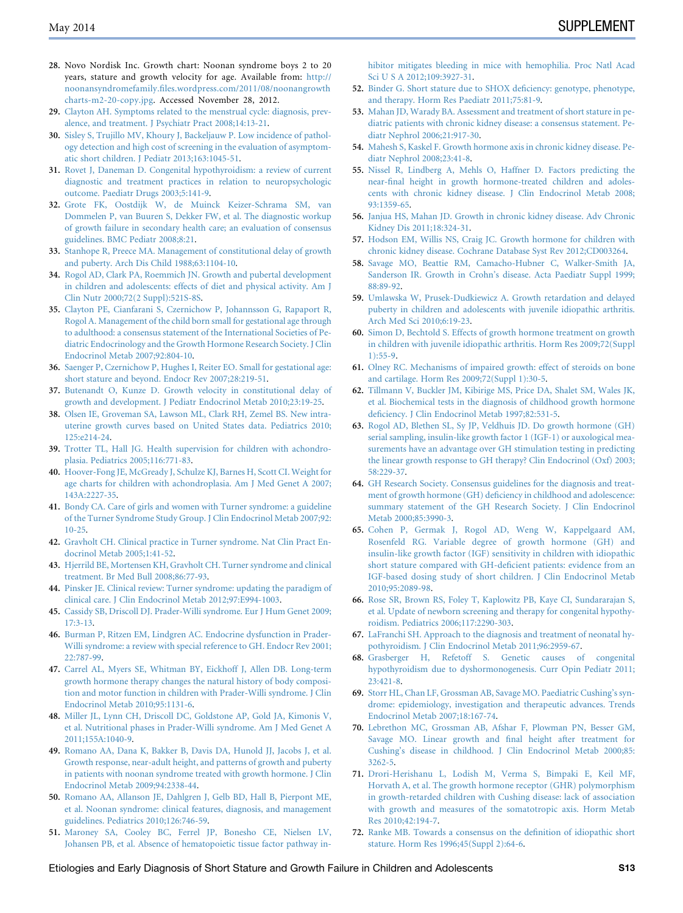- <span id="page-12-0"></span>28. Novo Nordisk Inc. Growth chart: Noonan syndrome boys 2 to 20 years, stature and growth velocity for age. Available from: [http://](http://noonansyndromefamily.files.wordpress.com/2011/08/noonangrowthcharts-m2-20-copy.jpg) [noonansyndromefamily.files.wordpress.com/2011/08/noonangrowth](http://noonansyndromefamily.files.wordpress.com/2011/08/noonangrowthcharts-m2-20-copy.jpg) [charts-m2-20-copy.jpg](http://noonansyndromefamily.files.wordpress.com/2011/08/noonangrowthcharts-m2-20-copy.jpg). Accessed November 28, 2012.
- 29. [Clayton AH. Symptoms related to the menstrual cycle: diagnosis, prev](http://refhub.elsevier.com/S0022-3476(14)00167-X/sref24)[alence, and treatment. J Psychiatr Pract 2008;14:13-21.](http://refhub.elsevier.com/S0022-3476(14)00167-X/sref24)
- 30. [Sisley S, Trujillo MV, Khoury J, Backeljauw P. Low incidence of pathol](http://refhub.elsevier.com/S0022-3476(14)00167-X/sref25)[ogy detection and high cost of screening in the evaluation of asymptom](http://refhub.elsevier.com/S0022-3476(14)00167-X/sref25)[atic short children. J Pediatr 2013;163:1045-51.](http://refhub.elsevier.com/S0022-3476(14)00167-X/sref25)
- 31. [Rovet J, Daneman D. Congenital hypothyroidism: a review of current](http://refhub.elsevier.com/S0022-3476(14)00167-X/sref26) [diagnostic and treatment practices in relation to neuropsychologic](http://refhub.elsevier.com/S0022-3476(14)00167-X/sref26) [outcome. Paediatr Drugs 2003;5:141-9](http://refhub.elsevier.com/S0022-3476(14)00167-X/sref26).
- 32. [Grote FK, Oostdijk W, de Muinck Keizer-Schrama SM, van](http://refhub.elsevier.com/S0022-3476(14)00167-X/sref27) [Dommelen P, van Buuren S, Dekker FW, et al. The diagnostic workup](http://refhub.elsevier.com/S0022-3476(14)00167-X/sref27) [of growth failure in secondary health care; an evaluation of consensus](http://refhub.elsevier.com/S0022-3476(14)00167-X/sref27) [guidelines. BMC Pediatr 2008;8:21.](http://refhub.elsevier.com/S0022-3476(14)00167-X/sref27)
- 33. [Stanhope R, Preece MA. Management of constitutional delay of growth](http://refhub.elsevier.com/S0022-3476(14)00167-X/sref28) [and puberty. Arch Dis Child 1988;63:1104-10.](http://refhub.elsevier.com/S0022-3476(14)00167-X/sref28)
- 34. [Rogol AD, Clark PA, Roemmich JN. Growth and pubertal development](http://refhub.elsevier.com/S0022-3476(14)00167-X/sref29) [in children and adolescents: effects of diet and physical activity. Am J](http://refhub.elsevier.com/S0022-3476(14)00167-X/sref29) [Clin Nutr 2000;72\(2 Suppl\):521S-8S.](http://refhub.elsevier.com/S0022-3476(14)00167-X/sref29)
- 35. [Clayton PE, Cianfarani S, Czernichow P, Johannsson G, Rapaport R,](http://refhub.elsevier.com/S0022-3476(14)00167-X/sref30) [Rogol A. Management of the child born small for gestational age through](http://refhub.elsevier.com/S0022-3476(14)00167-X/sref30) [to adulthood: a consensus statement of the International Societies of Pe](http://refhub.elsevier.com/S0022-3476(14)00167-X/sref30)[diatric Endocrinology and the Growth Hormone Research Society. J Clin](http://refhub.elsevier.com/S0022-3476(14)00167-X/sref30) [Endocrinol Metab 2007;92:804-10.](http://refhub.elsevier.com/S0022-3476(14)00167-X/sref30)
- 36. [Saenger P, Czernichow P, Hughes I, Reiter EO. Small for gestational age:](http://refhub.elsevier.com/S0022-3476(14)00167-X/sref31) [short stature and beyond. Endocr Rev 2007;28:219-51](http://refhub.elsevier.com/S0022-3476(14)00167-X/sref31).
- 37. [Butenandt O, Kunze D. Growth velocity in constitutional delay of](http://refhub.elsevier.com/S0022-3476(14)00167-X/sref32) [growth and development. J Pediatr Endocrinol Metab 2010;23:19-25.](http://refhub.elsevier.com/S0022-3476(14)00167-X/sref32)
- 38. [Olsen IE, Groveman SA, Lawson ML, Clark RH, Zemel BS. New intra](http://refhub.elsevier.com/S0022-3476(14)00167-X/sref33)[uterine growth curves based on United States data. Pediatrics 2010;](http://refhub.elsevier.com/S0022-3476(14)00167-X/sref33) [125:e214-24.](http://refhub.elsevier.com/S0022-3476(14)00167-X/sref33)
- 39. [Trotter TL, Hall JG. Health supervision for children with achondro](http://refhub.elsevier.com/S0022-3476(14)00167-X/sref34)[plasia. Pediatrics 2005;116:771-83.](http://refhub.elsevier.com/S0022-3476(14)00167-X/sref34)
- 40. [Hoover-Fong JE, McGready J, Schulze KJ, Barnes H, Scott CI. Weight for](http://refhub.elsevier.com/S0022-3476(14)00167-X/sref35) [age charts for children with achondroplasia. Am J Med Genet A 2007;](http://refhub.elsevier.com/S0022-3476(14)00167-X/sref35) [143A:2227-35](http://refhub.elsevier.com/S0022-3476(14)00167-X/sref35).
- 41. [Bondy CA. Care of girls and women with Turner syndrome: a guideline](http://refhub.elsevier.com/S0022-3476(14)00167-X/sref36) [of the Turner Syndrome Study Group. J Clin Endocrinol Metab 2007;92:](http://refhub.elsevier.com/S0022-3476(14)00167-X/sref36) [10-25](http://refhub.elsevier.com/S0022-3476(14)00167-X/sref36).
- 42. [Gravholt CH. Clinical practice in Turner syndrome. Nat Clin Pract En](http://refhub.elsevier.com/S0022-3476(14)00167-X/sref37)[docrinol Metab 2005;1:41-52](http://refhub.elsevier.com/S0022-3476(14)00167-X/sref37).
- 43. [Hjerrild BE, Mortensen KH, Gravholt CH. Turner syndrome and clinical](http://refhub.elsevier.com/S0022-3476(14)00167-X/sref38) [treatment. Br Med Bull 2008;86:77-93](http://refhub.elsevier.com/S0022-3476(14)00167-X/sref38).
- 44. [Pinsker JE. Clinical review: Turner syndrome: updating the paradigm of](http://refhub.elsevier.com/S0022-3476(14)00167-X/sref39) [clinical care. J Clin Endocrinol Metab 2012;97:E994-1003](http://refhub.elsevier.com/S0022-3476(14)00167-X/sref39).
- 45. [Cassidy SB, Driscoll DJ. Prader-Willi syndrome. Eur J Hum Genet 2009;](http://refhub.elsevier.com/S0022-3476(14)00167-X/sref40) [17:3-13](http://refhub.elsevier.com/S0022-3476(14)00167-X/sref40).
- 46. [Burman P, Ritzen EM, Lindgren AC. Endocrine dysfunction in Prader-](http://refhub.elsevier.com/S0022-3476(14)00167-X/sref41)[Willi syndrome: a review with special reference to GH. Endocr Rev 2001;](http://refhub.elsevier.com/S0022-3476(14)00167-X/sref41) [22:787-99.](http://refhub.elsevier.com/S0022-3476(14)00167-X/sref41)
- 47. [Carrel AL, Myers SE, Whitman BY, Eickhoff J, Allen DB. Long-term](http://refhub.elsevier.com/S0022-3476(14)00167-X/sref42) [growth hormone therapy changes the natural history of body composi](http://refhub.elsevier.com/S0022-3476(14)00167-X/sref42)[tion and motor function in children with Prader-Willi syndrome. J Clin](http://refhub.elsevier.com/S0022-3476(14)00167-X/sref42) [Endocrinol Metab 2010;95:1131-6.](http://refhub.elsevier.com/S0022-3476(14)00167-X/sref42)
- 48. [Miller JL, Lynn CH, Driscoll DC, Goldstone AP, Gold JA, Kimonis V,](http://refhub.elsevier.com/S0022-3476(14)00167-X/sref43) [et al. Nutritional phases in Prader-Willi syndrome. Am J Med Genet A](http://refhub.elsevier.com/S0022-3476(14)00167-X/sref43) [2011;155A:1040-9.](http://refhub.elsevier.com/S0022-3476(14)00167-X/sref43)
- 49. [Romano AA, Dana K, Bakker B, Davis DA, Hunold JJ, Jacobs J, et al.](http://refhub.elsevier.com/S0022-3476(14)00167-X/sref44) [Growth response, near-adult height, and patterns of growth and puberty](http://refhub.elsevier.com/S0022-3476(14)00167-X/sref44) [in patients with noonan syndrome treated with growth hormone. J Clin](http://refhub.elsevier.com/S0022-3476(14)00167-X/sref44) [Endocrinol Metab 2009;94:2338-44](http://refhub.elsevier.com/S0022-3476(14)00167-X/sref44).
- 50. [Romano AA, Allanson JE, Dahlgren J, Gelb BD, Hall B, Pierpont ME,](http://refhub.elsevier.com/S0022-3476(14)00167-X/sref45) [et al. Noonan syndrome: clinical features, diagnosis, and management](http://refhub.elsevier.com/S0022-3476(14)00167-X/sref45) [guidelines. Pediatrics 2010;126:746-59.](http://refhub.elsevier.com/S0022-3476(14)00167-X/sref45)
- 51. [Maroney SA, Cooley BC, Ferrel JP, Bonesho CE, Nielsen LV,](http://refhub.elsevier.com/S0022-3476(14)00167-X/sref46) [Johansen PB, et al. Absence of hematopoietic tissue factor pathway in-](http://refhub.elsevier.com/S0022-3476(14)00167-X/sref46)

[hibitor mitigates bleeding in mice with hemophilia. Proc Natl Acad](http://refhub.elsevier.com/S0022-3476(14)00167-X/sref46) [Sci U S A 2012;109:3927-31.](http://refhub.elsevier.com/S0022-3476(14)00167-X/sref46)

- 52. [Binder G. Short stature due to SHOX deficiency: genotype, phenotype,](http://refhub.elsevier.com/S0022-3476(14)00167-X/sref47) [and therapy. Horm Res Paediatr 2011;75:81-9.](http://refhub.elsevier.com/S0022-3476(14)00167-X/sref47)
- 53. [Mahan JD, Warady BA. Assessment and treatment of short stature in pe](http://refhub.elsevier.com/S0022-3476(14)00167-X/sref48)[diatric patients with chronic kidney disease: a consensus statement. Pe](http://refhub.elsevier.com/S0022-3476(14)00167-X/sref48)[diatr Nephrol 2006;21:917-30](http://refhub.elsevier.com/S0022-3476(14)00167-X/sref48).
- 54. [Mahesh S, Kaskel F. Growth hormone axis in chronic kidney disease. Pe](http://refhub.elsevier.com/S0022-3476(14)00167-X/sref49)[diatr Nephrol 2008;23:41-8.](http://refhub.elsevier.com/S0022-3476(14)00167-X/sref49)
- 55. [Nissel R, Lindberg A, Mehls O, Haffner D. Factors predicting the](http://refhub.elsevier.com/S0022-3476(14)00167-X/sref50) [near-final height in growth hormone-treated children and adoles](http://refhub.elsevier.com/S0022-3476(14)00167-X/sref50)[cents with chronic kidney disease. J Clin Endocrinol Metab 2008;](http://refhub.elsevier.com/S0022-3476(14)00167-X/sref50) [93:1359-65.](http://refhub.elsevier.com/S0022-3476(14)00167-X/sref50)
- 56. [Janjua HS, Mahan JD. Growth in chronic kidney disease. Adv Chronic](http://refhub.elsevier.com/S0022-3476(14)00167-X/sref51) [Kidney Dis 2011;18:324-31.](http://refhub.elsevier.com/S0022-3476(14)00167-X/sref51)
- 57. [Hodson EM, Willis NS, Craig JC. Growth hormone for children with](http://refhub.elsevier.com/S0022-3476(14)00167-X/sref52) [chronic kidney disease. Cochrane Database Syst Rev 2012;CD003264](http://refhub.elsevier.com/S0022-3476(14)00167-X/sref52).
- 58. [Savage MO, Beattie RM, Camacho-Hubner C, Walker-Smith JA,](http://refhub.elsevier.com/S0022-3476(14)00167-X/sref53) [Sanderson IR. Growth in Crohn's disease. Acta Paediatr Suppl 1999;](http://refhub.elsevier.com/S0022-3476(14)00167-X/sref53) [88:89-92.](http://refhub.elsevier.com/S0022-3476(14)00167-X/sref53)
- 59. [Umlawska W, Prusek-Dudkiewicz A. Growth retardation and delayed](http://refhub.elsevier.com/S0022-3476(14)00167-X/sref54) [puberty in children and adolescents with juvenile idiopathic arthritis.](http://refhub.elsevier.com/S0022-3476(14)00167-X/sref54) [Arch Med Sci 2010;6:19-23.](http://refhub.elsevier.com/S0022-3476(14)00167-X/sref54)
- 60. [Simon D, Bechtold S. Effects of growth hormone treatment on growth](http://refhub.elsevier.com/S0022-3476(14)00167-X/sref55) [in children with juvenile idiopathic arthritis. Horm Res 2009;72\(Suppl](http://refhub.elsevier.com/S0022-3476(14)00167-X/sref55) [1\):55-9.](http://refhub.elsevier.com/S0022-3476(14)00167-X/sref55)
- 61. [Olney RC. Mechanisms of impaired growth: effect of steroids on bone](http://refhub.elsevier.com/S0022-3476(14)00167-X/sref56) [and cartilage. Horm Res 2009;72\(Suppl 1\):30-5](http://refhub.elsevier.com/S0022-3476(14)00167-X/sref56).
- 62. [Tillmann V, Buckler JM, Kibirige MS, Price DA, Shalet SM, Wales JK,](http://refhub.elsevier.com/S0022-3476(14)00167-X/sref57) [et al. Biochemical tests in the diagnosis of childhood growth hormone](http://refhub.elsevier.com/S0022-3476(14)00167-X/sref57) [deficiency. J Clin Endocrinol Metab 1997;82:531-5.](http://refhub.elsevier.com/S0022-3476(14)00167-X/sref57)
- 63. [Rogol AD, Blethen SL, Sy JP, Veldhuis JD. Do growth hormone \(GH\)](http://refhub.elsevier.com/S0022-3476(14)00167-X/sref58) [serial sampling, insulin-like growth factor 1 \(IGF-1\) or auxological mea](http://refhub.elsevier.com/S0022-3476(14)00167-X/sref58)[surements have an advantage over GH stimulation testing in predicting](http://refhub.elsevier.com/S0022-3476(14)00167-X/sref58) [the linear growth response to GH therapy? Clin Endocrinol \(Oxf\) 2003;](http://refhub.elsevier.com/S0022-3476(14)00167-X/sref58) [58:229-37.](http://refhub.elsevier.com/S0022-3476(14)00167-X/sref58)
- 64. [GH Research Society. Consensus guidelines for the diagnosis and treat](http://refhub.elsevier.com/S0022-3476(14)00167-X/sref59)[ment of growth hormone \(GH\) deficiency in childhood and adolescence:](http://refhub.elsevier.com/S0022-3476(14)00167-X/sref59) [summary statement of the GH Research Society. J Clin Endocrinol](http://refhub.elsevier.com/S0022-3476(14)00167-X/sref59) [Metab 2000;85:3990-3.](http://refhub.elsevier.com/S0022-3476(14)00167-X/sref59)
- 65. [Cohen P, Germak J, Rogol AD, Weng W, Kappelgaard AM,](http://refhub.elsevier.com/S0022-3476(14)00167-X/sref60) [Rosenfeld RG. Variable degree of growth hormone \(GH\) and](http://refhub.elsevier.com/S0022-3476(14)00167-X/sref60) [insulin-like growth factor \(IGF\) sensitivity in children with idiopathic](http://refhub.elsevier.com/S0022-3476(14)00167-X/sref60) [short stature compared with GH-deficient patients: evidence from an](http://refhub.elsevier.com/S0022-3476(14)00167-X/sref60) [IGF-based dosing study of short children. J Clin Endocrinol Metab](http://refhub.elsevier.com/S0022-3476(14)00167-X/sref60) [2010;95:2089-98.](http://refhub.elsevier.com/S0022-3476(14)00167-X/sref60)
- 66. [Rose SR, Brown RS, Foley T, Kaplowitz PB, Kaye CI, Sundararajan S,](http://refhub.elsevier.com/S0022-3476(14)00167-X/sref61) [et al. Update of newborn screening and therapy for congenital hypothy](http://refhub.elsevier.com/S0022-3476(14)00167-X/sref61)[roidism. Pediatrics 2006;117:2290-303.](http://refhub.elsevier.com/S0022-3476(14)00167-X/sref61)
- 67. [LaFranchi SH. Approach to the diagnosis and treatment of neonatal hy](http://refhub.elsevier.com/S0022-3476(14)00167-X/sref62)[pothyroidism. J Clin Endocrinol Metab 2011;96:2959-67.](http://refhub.elsevier.com/S0022-3476(14)00167-X/sref62)
- 68. [Grasberger H, Refetoff S. Genetic causes of congenital](http://refhub.elsevier.com/S0022-3476(14)00167-X/sref63) [hypothyroidism due to dyshormonogenesis. Curr Opin Pediatr 2011;](http://refhub.elsevier.com/S0022-3476(14)00167-X/sref63) [23:421-8.](http://refhub.elsevier.com/S0022-3476(14)00167-X/sref63)
- 69. [Storr HL, Chan LF, Grossman AB, Savage MO. Paediatric Cushing's syn](http://refhub.elsevier.com/S0022-3476(14)00167-X/sref64)[drome: epidemiology, investigation and therapeutic advances. Trends](http://refhub.elsevier.com/S0022-3476(14)00167-X/sref64) [Endocrinol Metab 2007;18:167-74.](http://refhub.elsevier.com/S0022-3476(14)00167-X/sref64)
- 70. [Lebrethon MC, Grossman AB, Afshar F, Plowman PN, Besser GM,](http://refhub.elsevier.com/S0022-3476(14)00167-X/sref65) [Savage MO. Linear growth and final height after treatment for](http://refhub.elsevier.com/S0022-3476(14)00167-X/sref65) [Cushing's disease in childhood. J Clin Endocrinol Metab 2000;85:](http://refhub.elsevier.com/S0022-3476(14)00167-X/sref65) [3262-5](http://refhub.elsevier.com/S0022-3476(14)00167-X/sref65).
- 71. [Drori-Herishanu L, Lodish M, Verma S, Bimpaki E, Keil MF,](http://refhub.elsevier.com/S0022-3476(14)00167-X/sref66) [Horvath A, et al. The growth hormone receptor \(GHR\) polymorphism](http://refhub.elsevier.com/S0022-3476(14)00167-X/sref66) [in growth-retarded children with Cushing disease: lack of association](http://refhub.elsevier.com/S0022-3476(14)00167-X/sref66) [with growth and measures of the somatotropic axis. Horm Metab](http://refhub.elsevier.com/S0022-3476(14)00167-X/sref66) [Res 2010;42:194-7.](http://refhub.elsevier.com/S0022-3476(14)00167-X/sref66)
- 72. [Ranke MB. Towards a consensus on the definition of idiopathic short](http://refhub.elsevier.com/S0022-3476(14)00167-X/sref67) [stature. Horm Res 1996;45\(Suppl 2\):64-6](http://refhub.elsevier.com/S0022-3476(14)00167-X/sref67).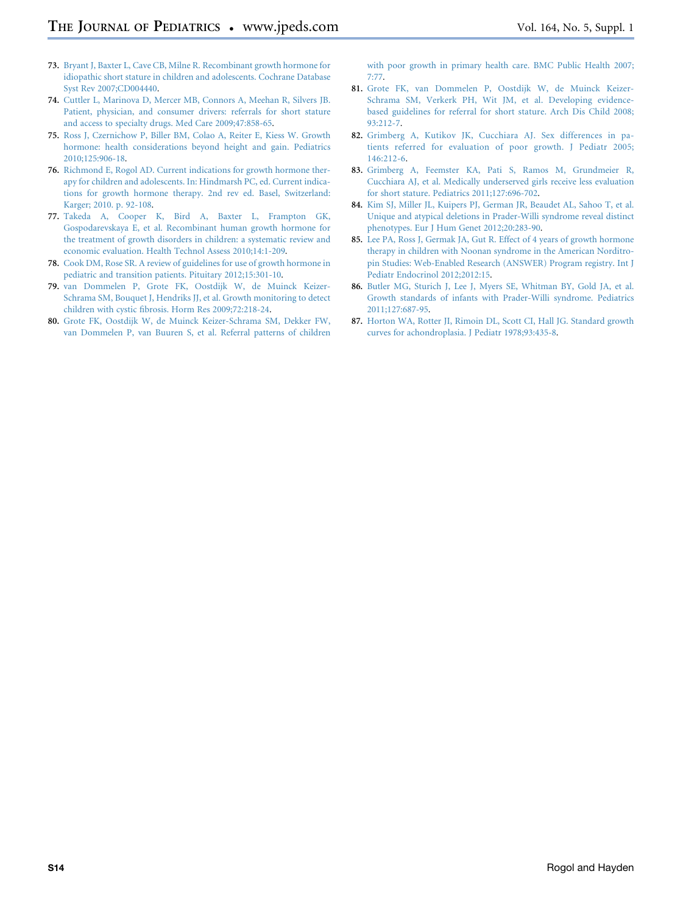- <span id="page-13-0"></span>73. [Bryant J, Baxter L, Cave CB, Milne R. Recombinant growth hormone for](http://refhub.elsevier.com/S0022-3476(14)00167-X/sref68) [idiopathic short stature in children and adolescents. Cochrane Database](http://refhub.elsevier.com/S0022-3476(14)00167-X/sref68) [Syst Rev 2007;CD004440.](http://refhub.elsevier.com/S0022-3476(14)00167-X/sref68)
- 74. [Cuttler L, Marinova D, Mercer MB, Connors A, Meehan R, Silvers JB.](http://refhub.elsevier.com/S0022-3476(14)00167-X/sref69) [Patient, physician, and consumer drivers: referrals for short stature](http://refhub.elsevier.com/S0022-3476(14)00167-X/sref69) [and access to specialty drugs. Med Care 2009;47:858-65](http://refhub.elsevier.com/S0022-3476(14)00167-X/sref69).
- 75. [Ross J, Czernichow P, Biller BM, Colao A, Reiter E, Kiess W. Growth](http://refhub.elsevier.com/S0022-3476(14)00167-X/sref70) [hormone: health considerations beyond height and gain. Pediatrics](http://refhub.elsevier.com/S0022-3476(14)00167-X/sref70) [2010;125:906-18.](http://refhub.elsevier.com/S0022-3476(14)00167-X/sref70)
- 76. [Richmond E, Rogol AD. Current indications for growth hormone ther](http://refhub.elsevier.com/S0022-3476(14)00167-X/sref71)[apy for children and adolescents. In: Hindmarsh PC, ed. Current indica](http://refhub.elsevier.com/S0022-3476(14)00167-X/sref71)[tions for growth hormone therapy. 2nd rev ed. Basel, Switzerland:](http://refhub.elsevier.com/S0022-3476(14)00167-X/sref71) [Karger; 2010. p. 92-108.](http://refhub.elsevier.com/S0022-3476(14)00167-X/sref71)
- 77. [Takeda A, Cooper K, Bird A, Baxter L, Frampton GK,](http://refhub.elsevier.com/S0022-3476(14)00167-X/sref72) [Gospodarevskaya E, et al. Recombinant human growth hormone for](http://refhub.elsevier.com/S0022-3476(14)00167-X/sref72) [the treatment of growth disorders in children: a systematic review and](http://refhub.elsevier.com/S0022-3476(14)00167-X/sref72) [economic evaluation. Health Technol Assess 2010;14:1-209](http://refhub.elsevier.com/S0022-3476(14)00167-X/sref72).
- 78. [Cook DM, Rose SR. A review of guidelines for use of growth hormone in](http://refhub.elsevier.com/S0022-3476(14)00167-X/sref73) [pediatric and transition patients. Pituitary 2012;15:301-10.](http://refhub.elsevier.com/S0022-3476(14)00167-X/sref73)
- 79. [van Dommelen P, Grote FK, Oostdijk W, de Muinck Keizer-](http://refhub.elsevier.com/S0022-3476(14)00167-X/sref74)[Schrama SM, Bouquet J, Hendriks JJ, et al. Growth monitoring to detect](http://refhub.elsevier.com/S0022-3476(14)00167-X/sref74) [children with cystic fibrosis. Horm Res 2009;72:218-24.](http://refhub.elsevier.com/S0022-3476(14)00167-X/sref74)
- 80. [Grote FK, Oostdijk W, de Muinck Keizer-Schrama SM, Dekker FW,](http://refhub.elsevier.com/S0022-3476(14)00167-X/sref75) [van Dommelen P, van Buuren S, et al. Referral patterns of children](http://refhub.elsevier.com/S0022-3476(14)00167-X/sref75)

[with poor growth in primary health care. BMC Public Health 2007;](http://refhub.elsevier.com/S0022-3476(14)00167-X/sref75) [7:77.](http://refhub.elsevier.com/S0022-3476(14)00167-X/sref75)

- 81. [Grote FK, van Dommelen P, Oostdijk W, de Muinck Keizer-](http://refhub.elsevier.com/S0022-3476(14)00167-X/sref76)[Schrama SM, Verkerk PH, Wit JM, et al. Developing evidence](http://refhub.elsevier.com/S0022-3476(14)00167-X/sref76)[based guidelines for referral for short stature. Arch Dis Child 2008;](http://refhub.elsevier.com/S0022-3476(14)00167-X/sref76) [93:212-7.](http://refhub.elsevier.com/S0022-3476(14)00167-X/sref76)
- 82. [Grimberg A, Kutikov JK, Cucchiara AJ. Sex differences in pa](http://refhub.elsevier.com/S0022-3476(14)00167-X/sref77)[tients referred for evaluation of poor growth. J Pediatr 2005;](http://refhub.elsevier.com/S0022-3476(14)00167-X/sref77) [146:212-6](http://refhub.elsevier.com/S0022-3476(14)00167-X/sref77).
- 83. [Grimberg A, Feemster KA, Pati S, Ramos M, Grundmeier R,](http://refhub.elsevier.com/S0022-3476(14)00167-X/sref78) [Cucchiara AJ, et al. Medically underserved girls receive less evaluation](http://refhub.elsevier.com/S0022-3476(14)00167-X/sref78) [for short stature. Pediatrics 2011;127:696-702.](http://refhub.elsevier.com/S0022-3476(14)00167-X/sref78)
- 84. [Kim SJ, Miller JL, Kuipers PJ, German JR, Beaudet AL, Sahoo T, et al.](http://refhub.elsevier.com/S0022-3476(14)00167-X/sref79) [Unique and atypical deletions in Prader-Willi syndrome reveal distinct](http://refhub.elsevier.com/S0022-3476(14)00167-X/sref79) [phenotypes. Eur J Hum Genet 2012;20:283-90.](http://refhub.elsevier.com/S0022-3476(14)00167-X/sref79)
- 85. [Lee PA, Ross J, Germak JA, Gut R. Effect of 4 years of growth hormone](http://refhub.elsevier.com/S0022-3476(14)00167-X/sref80) [therapy in children with Noonan syndrome in the American Norditro](http://refhub.elsevier.com/S0022-3476(14)00167-X/sref80)[pin Studies: Web-Enabled Research \(ANSWER\) Program registry. Int J](http://refhub.elsevier.com/S0022-3476(14)00167-X/sref80) [Pediatr Endocrinol 2012;2012:15.](http://refhub.elsevier.com/S0022-3476(14)00167-X/sref80)
- 86. [Butler MG, Sturich J, Lee J, Myers SE, Whitman BY, Gold JA, et al.](http://refhub.elsevier.com/S0022-3476(14)00167-X/sref81) [Growth standards of infants with Prader-Willi syndrome. Pediatrics](http://refhub.elsevier.com/S0022-3476(14)00167-X/sref81) [2011;127:687-95.](http://refhub.elsevier.com/S0022-3476(14)00167-X/sref81)
- 87. [Horton WA, Rotter JI, Rimoin DL, Scott CI, Hall JG. Standard growth](http://refhub.elsevier.com/S0022-3476(14)00167-X/sref82) [curves for achondroplasia. J Pediatr 1978;93:435-8.](http://refhub.elsevier.com/S0022-3476(14)00167-X/sref82)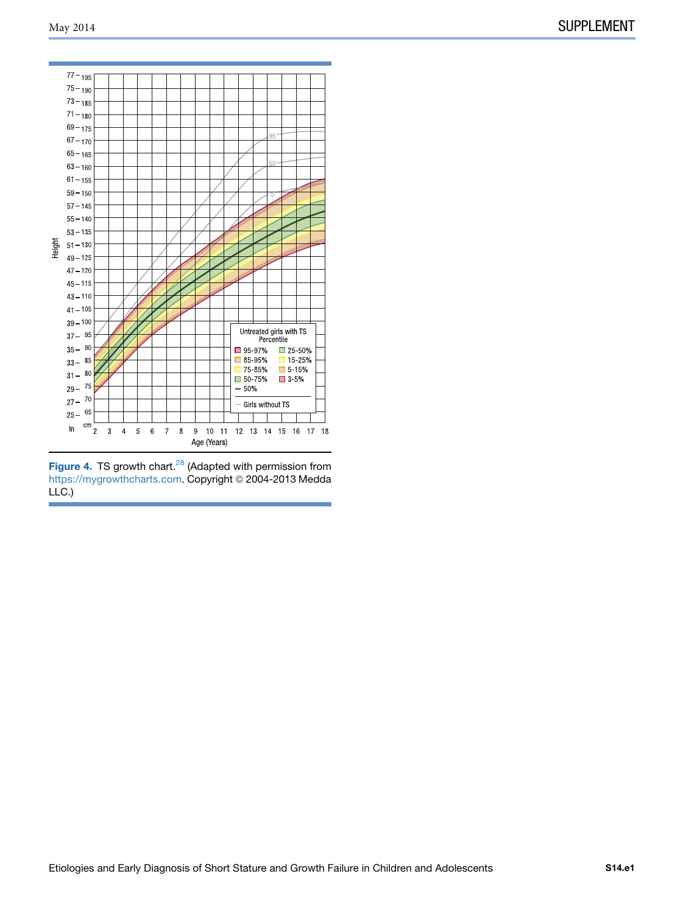<span id="page-14-0"></span>

Figure 4. TS growth chart.<sup>[28](#page-12-0)</sup> (Adapted with permission from<br>[https://mygrowthcharts.com.](https://mygrowthcharts.com) Copyright © 2004-2013 Medda LLC.)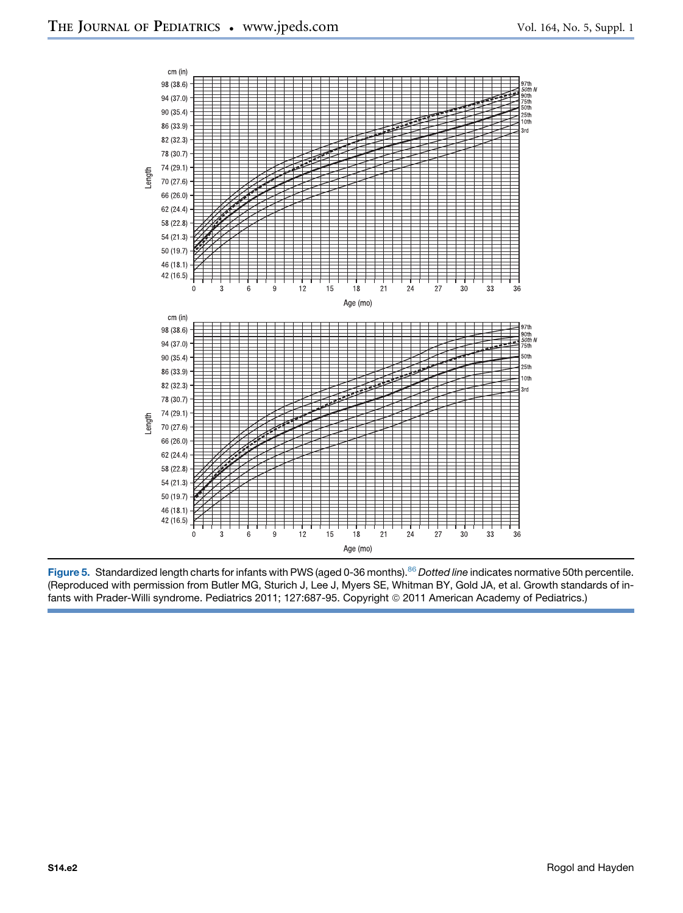

Figure 5. Standardized length charts for infants with PWS (aged 0-36 months).<sup>[86](#page-13-0)</sup> Dotted line indicates normative 50th percentile. (Reproduced with permission from Butler MG, Sturich J, Lee J, Myers SE, Whitman BY, Gold JA, et al. Growth standards of infants with Prader-Willi syndrome. Pediatrics 2011; 127:687-95. Copyright @ 2011 American Academy of Pediatrics.)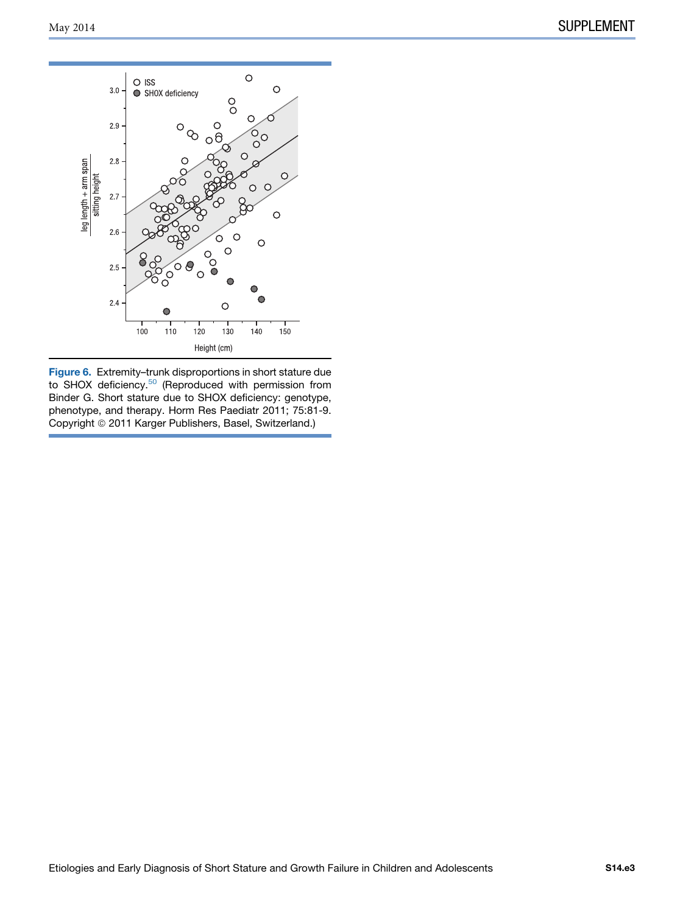

Figure 6. Extremity–trunk disproportions in short stature due to SHOX deficiency.<sup>[50](#page-12-0)</sup> (Reproduced with permission from Binder G. Short stature due to SHOX deficiency: genotype, phenotype, and therapy. Horm Res Paediatr 2011; 75:81-9. Copyright © 2011 Karger Publishers, Basel, Switzerland.)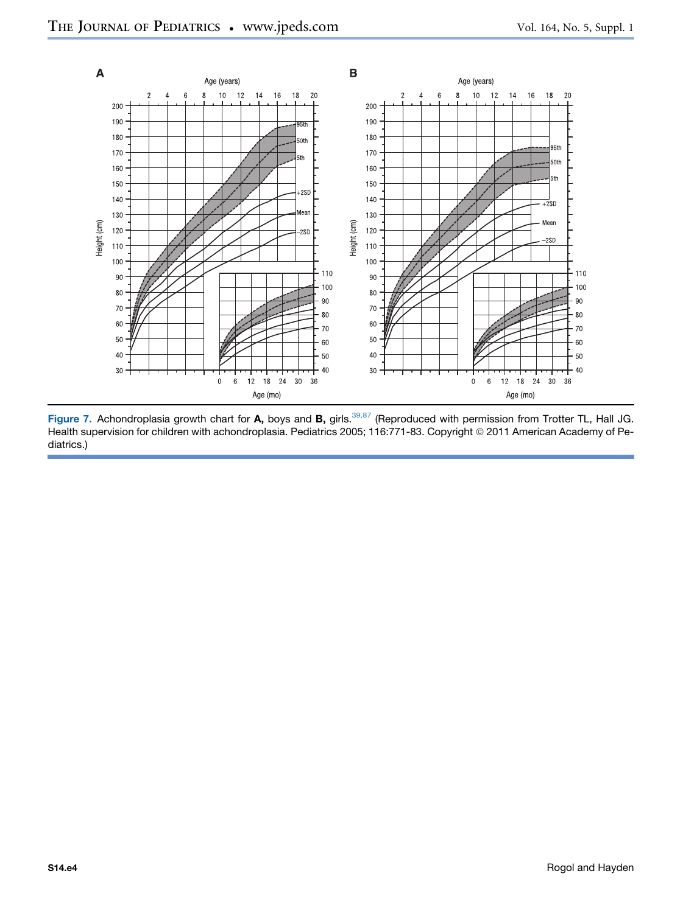<span id="page-17-0"></span>

Figure 7. Achondroplasia growth chart for A, boys and B, girls.<sup>[39,87](#page-12-0)</sup> (Reproduced with permission from Trotter TL, Hall JG. Health supervision for children with achondroplasia. Pediatrics 2005; 116:771-83. Copyright © 2011 American Academy of Pediatrics.)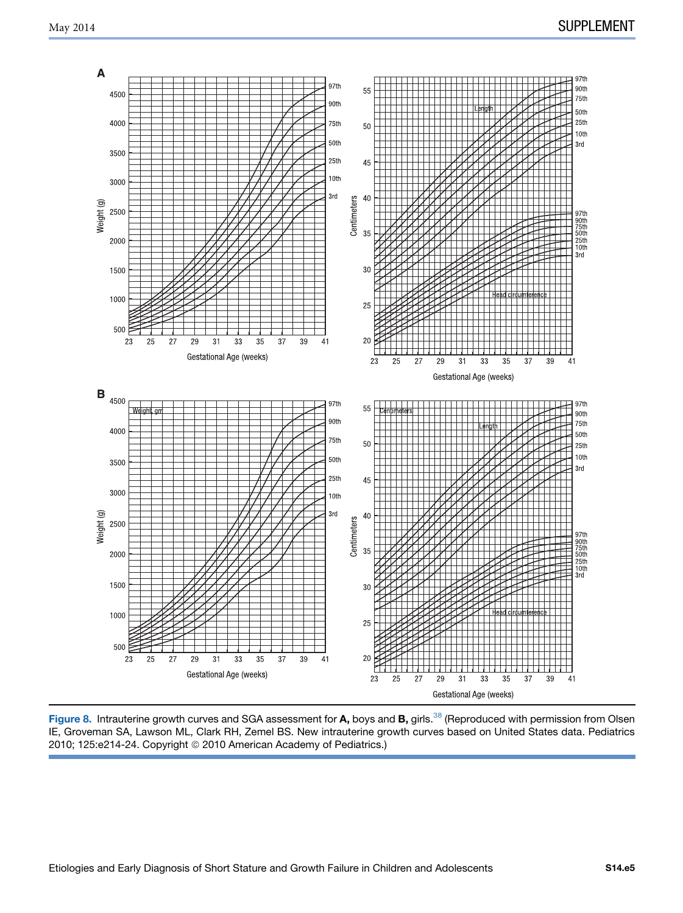<span id="page-18-0"></span>

Figure 8. Intrauterine growth curves and SGA assessment for A, boys and B, girls.<sup>[38](#page-12-0)</sup> (Reproduced with permission from Olsen IE, Groveman SA, Lawson ML, Clark RH, Zemel BS. New intrauterine growth curves based on United States data. Pediatrics 2010; 125:e214-24. Copyright © 2010 American Academy of Pediatrics.)